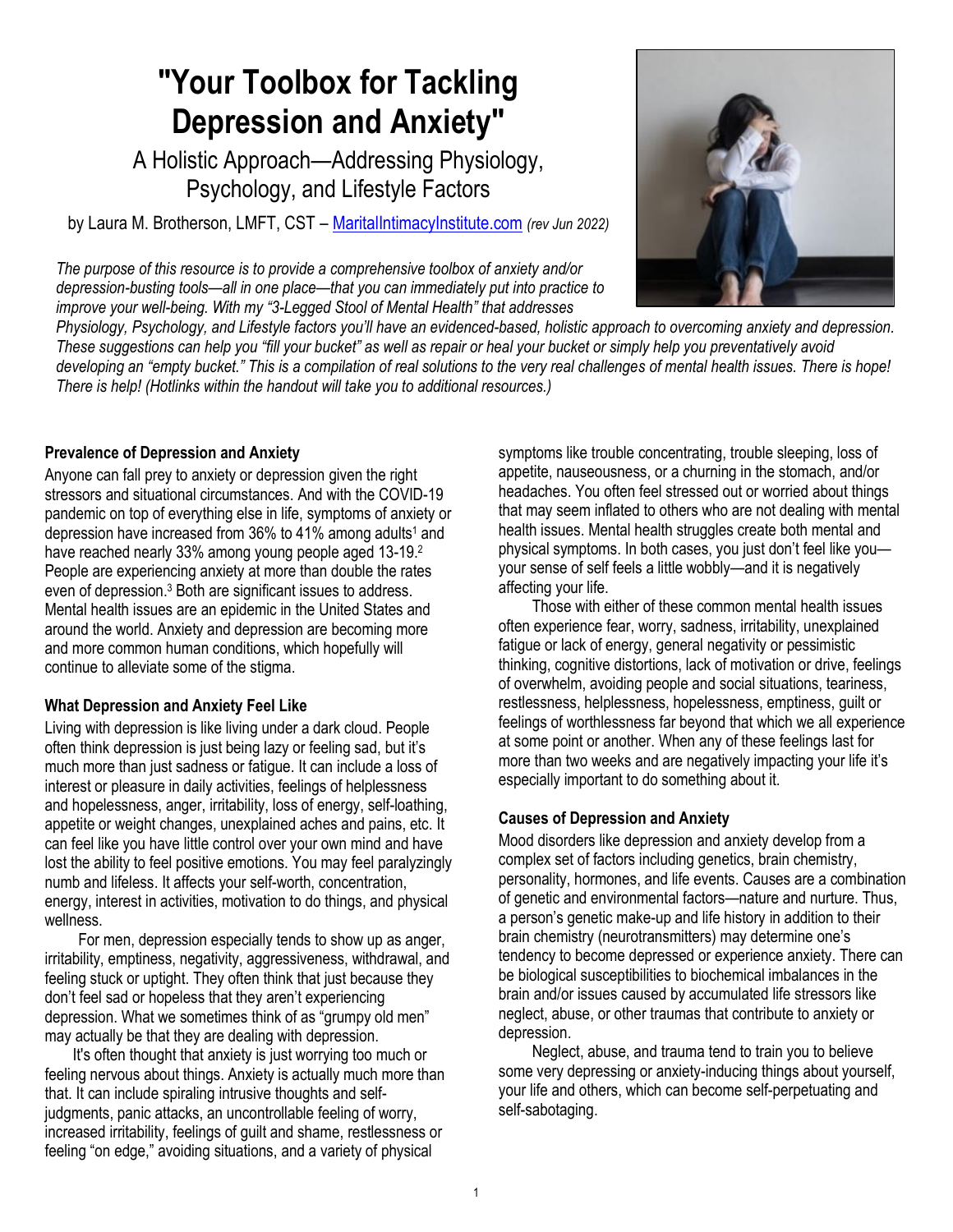# **"Your Toolbox for Tackling Depression and Anxiety"**

A Holistic Approach—Addressing Physiology, Psychology, and Lifestyle Factors

by Laura M. Brotherson, LMFT, CST – [MaritalIntimacyInstitute.com](https://maritalintimacyinst.com/lauras-resources/) *(rev Jun 2022)*

*The purpose of this resource is to provide a comprehensive toolbox of anxiety and/or depression-busting tools—all in one place—that you can immediately put into practice to improve your well-being. With my "3-Legged Stool of Mental Health" that addresses*



*Physiology, Psychology, and Lifestyle factors you'll have an evidenced-based, holistic approach to overcoming anxiety and depression. These suggestions can help you "fill your bucket" as well as repair or heal your bucket or simply help you preventatively avoid developing an "empty bucket." This is a compilation of real solutions to the very real challenges of mental health issues. There is hope! There is help! (Hotlinks within the handout will take you to additional resources.)*

#### **Prevalence of Depression and Anxiety**

Anyone can fall prey to anxiety or depression given the right stressors and situational circumstances. And with the COVID-19 pandemic on top of everything else in life, symptoms of anxiety or depression have increased from  $36\%$  to  $41\%$  among adults<sup>1</sup> and have reached nearly 33% among young people aged 13-19.<sup>2</sup> People are experiencing anxiety at more than double the rates even of depression.<sup>3</sup> Both are significant issues to address. Mental health issues are an epidemic in the United States and around the world. Anxiety and depression are becoming more and more common human conditions, which hopefully will continue to alleviate some of the stigma.

#### **What Depression and Anxiety Feel Like**

Living with depression is like living under a dark cloud. People often think depression is just being lazy or feeling sad, but it's much more than just sadness or fatigue. It can include a loss of interest or pleasure in daily activities, feelings of helplessness and hopelessness, anger, irritability, loss of energy, self-loathing, appetite or weight changes, unexplained aches and pains, etc. It can feel like you have little control over your own mind and have lost the ability to feel positive emotions. You may feel paralyzingly numb and lifeless. It affects your self-worth, concentration, energy, interest in activities, motivation to do things, and physical wellness.

For men, depression especially tends to show up as anger, irritability, emptiness, negativity, aggressiveness, withdrawal, and feeling stuck or uptight. They often think that just because they don't feel sad or hopeless that they aren't experiencing depression. What we sometimes think of as "grumpy old men" may actually be that they are dealing with depression.

It's often thought that anxiety is just worrying too much or feeling nervous about things. Anxiety is actually much more than that. It can include spiraling intrusive thoughts and selfjudgments, panic attacks, an uncontrollable feeling of worry, increased irritability, feelings of guilt and shame, restlessness or feeling "on edge," avoiding situations, and a variety of physical

symptoms like trouble concentrating, trouble sleeping, loss of appetite, nauseousness, or a churning in the stomach, and/or headaches. You often feel stressed out or worried about things that may seem inflated to others who are not dealing with mental health issues. Mental health struggles create both mental and physical symptoms. In both cases, you just don't feel like you your sense of self feels a little wobbly—and it is negatively affecting your life.

Those with either of these common mental health issues often experience fear, worry, sadness, irritability, unexplained fatigue or lack of energy, general negativity or pessimistic thinking, cognitive distortions, lack of motivation or drive, feelings of overwhelm, avoiding people and social situations, teariness, restlessness, helplessness, hopelessness, emptiness, guilt or feelings of worthlessness far beyond that which we all experience at some point or another. When any of these feelings last for more than two weeks and are negatively impacting your life it's especially important to do something about it.

#### **Causes of Depression and Anxiety**

Mood disorders like depression and anxiety develop from a complex set of factors including genetics, brain chemistry, personality, hormones, and life events. Causes are a combination of genetic and environmental factors—nature and nurture. Thus, a person's genetic make-up and life history in addition to their brain chemistry (neurotransmitters) may determine one's tendency to become depressed or experience anxiety. There can be biological susceptibilities to biochemical imbalances in the brain and/or issues caused by accumulated life stressors like neglect, abuse, or other traumas that contribute to anxiety or depression.

Neglect, abuse, and trauma tend to train you to believe some very depressing or anxiety-inducing things about yourself, your life and others, which can become self-perpetuating and self-sabotaging.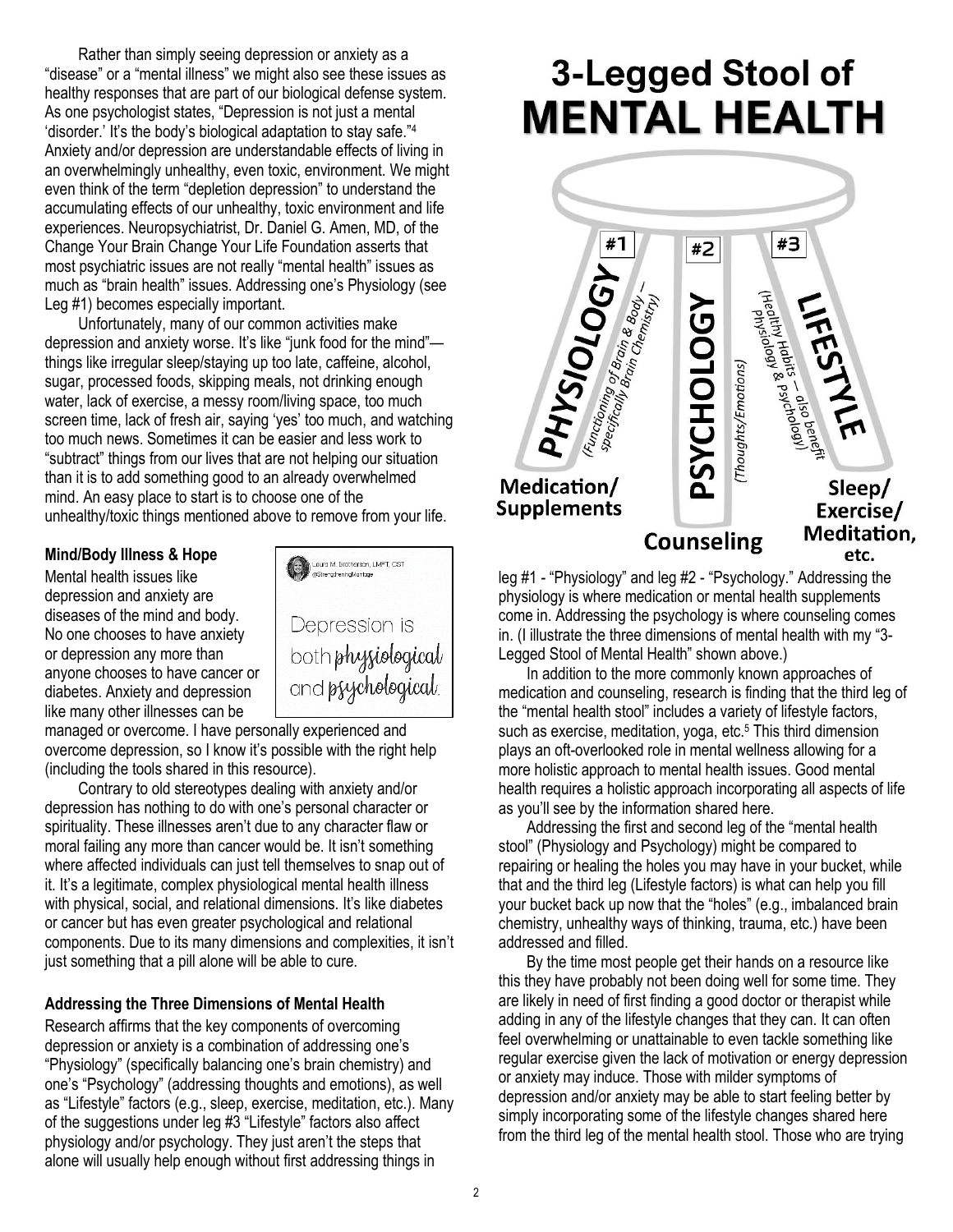Rather than simply seeing depression or anxiety as a "disease" or a "mental illness" we might also see these issues as healthy responses that are part of our biological defense system. As one psychologist states, "Depression is not just a mental 'disorder.' It's the body's biological adaptation to stay safe."<sup>4</sup> Anxiety and/or depression are understandable effects of living in an overwhelmingly unhealthy, even toxic, environment. We might even think of the term "depletion depression" to understand the accumulating effects of our unhealthy, toxic environment and life experiences. Neuropsychiatrist, Dr. Daniel G. Amen, MD, of the Change Your Brain Change Your Life Foundation asserts that most psychiatric issues are not really "mental health" issues as much as "brain health" issues. Addressing one's Physiology (see Leg #1) becomes especially important.

Unfortunately, many of our common activities make depression and anxiety worse. It's like "junk food for the mind" things like irregular sleep/staying up too late, caffeine, alcohol, sugar, processed foods, skipping meals, not drinking enough water, lack of exercise, a messy room/living space, too much screen time, lack of fresh air, saying 'yes' too much, and watching too much news. Sometimes it can be easier and less work to "subtract" things from our lives that are not helping our situation than it is to add something good to an already overwhelmed mind. An easy place to start is to choose one of the unhealthy/toxic things mentioned above to remove from your life.

#### **Mind/Body Illness & Hope**

Mental health issues like depression and anxiety are diseases of the mind and body. No one chooses to have anxiety or depression any more than anyone chooses to have cancer or diabetes. Anxiety and depression like many other illnesses can be



managed or overcome. I have personally experienced and overcome depression, so I know it's possible with the right help (including the tools shared in this resource).

Contrary to old stereotypes dealing with anxiety and/or depression has nothing to do with one's personal character or spirituality. These illnesses aren't due to any character flaw or moral failing any more than cancer would be. It isn't something where affected individuals can just tell themselves to snap out of it. It's a legitimate, complex physiological mental health illness with physical, social, and relational dimensions. It's like diabetes or cancer but has even greater psychological and relational components. Due to its many dimensions and complexities, it isn't just something that a pill alone will be able to cure.

#### **Addressing the Three Dimensions of Mental Health**

Research affirms that the key components of overcoming depression or anxiety is a combination of addressing one's "Physiology" (specifically balancing one's brain chemistry) and one's "Psychology" (addressing thoughts and emotions), as well as "Lifestyle" factors (e.g., sleep, exercise, meditation, etc.). Many of the suggestions under leg #3 "Lifestyle" factors also affect physiology and/or psychology. They just aren't the steps that alone will usually help enough without first addressing things in

# 3-Legged Stool of **MENTAL HEALTH**



leg #1 - "Physiology" and leg #2 - "Psychology." Addressing the physiology is where medication or mental health supplements come in. Addressing the psychology is where counseling comes in. (I illustrate the three dimensions of mental health with my "3- Legged Stool of Mental Health" shown above.)

In addition to the more commonly known approaches of medication and counseling, research is finding that the third leg of the "mental health stool" includes a variety of lifestyle factors, such as exercise, meditation, yoga, etc.<sup>5</sup> This third dimension plays an oft-overlooked role in mental wellness allowing for a more holistic approach to mental health issues. Good mental health requires a holistic approach incorporating all aspects of life as you'll see by the information shared here.

Addressing the first and second leg of the "mental health stool" (Physiology and Psychology) might be compared to repairing or healing the holes you may have in your bucket, while that and the third leg (Lifestyle factors) is what can help you fill your bucket back up now that the "holes" (e.g., imbalanced brain chemistry, unhealthy ways of thinking, trauma, etc.) have been addressed and filled.

By the time most people get their hands on a resource like this they have probably not been doing well for some time. They are likely in need of first finding a good doctor or therapist while adding in any of the lifestyle changes that they can. It can often feel overwhelming or unattainable to even tackle something like regular exercise given the lack of motivation or energy depression or anxiety may induce. Those with milder symptoms of depression and/or anxiety may be able to start feeling better by simply incorporating some of the lifestyle changes shared here from the third leg of the mental health stool. Those who are trying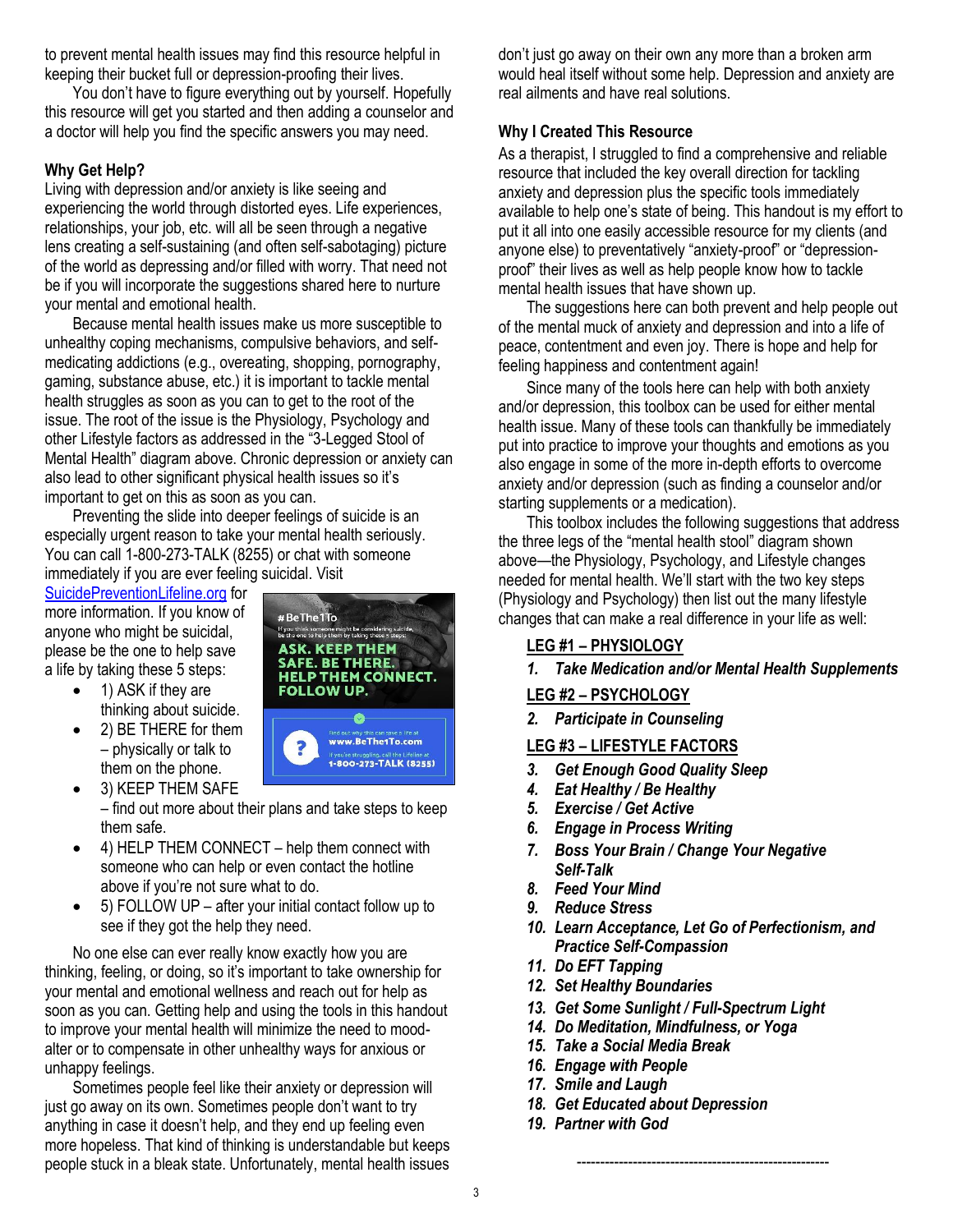to prevent mental health issues may find this resource helpful in keeping their bucket full or depression-proofing their lives.

You don't have to figure everything out by yourself. Hopefully this resource will get you started and then adding a counselor and a doctor will help you find the specific answers you may need.

#### **Why Get Help?**

Living with depression and/or anxiety is like seeing and experiencing the world through distorted eyes. Life experiences, relationships, your job, etc. will all be seen through a negative lens creating a self-sustaining (and often self-sabotaging) picture of the world as depressing and/or filled with worry. That need not be if you will incorporate the suggestions shared here to nurture your mental and emotional health.

Because mental health issues make us more susceptible to unhealthy coping mechanisms, compulsive behaviors, and selfmedicating addictions (e.g., overeating, shopping, pornography, gaming, substance abuse, etc.) it is important to tackle mental health struggles as soon as you can to get to the root of the issue. The root of the issue is the Physiology, Psychology and other Lifestyle factors as addressed in the "3-Legged Stool of Mental Health" diagram above. Chronic depression or anxiety can also lead to other significant physical health issues so it's important to get on this as soon as you can.

Preventing the slide into deeper feelings of suicide is an especially urgent reason to take your mental health seriously. You can call 1-800-273-TALK (8255) or chat with someone immediately if you are ever feeling suicidal. Visit

[SuicidePreventionLifeline.org](https://suicidepreventionlifeline.org/) for more information. If you know of anyone who might be suicidal, please be the one to help save a life by taking these 5 steps:

- 1) ASK if they are thinking about suicide.
- 2) BE THERE for them – physically or talk to them on the phone.



- 3) KEEP THEM SAFE – find out more about their plans and take steps to keep them safe.
- 4) HELP THEM CONNECT help them connect with someone who can help or even contact the hotline above if you're not sure what to do.
- 5) FOLLOW UP after your initial contact follow up to see if they got the help they need.

No one else can ever really know exactly how you are thinking, feeling, or doing, so it's important to take ownership for your mental and emotional wellness and reach out for help as soon as you can. Getting help and using the tools in this handout to improve your mental health will minimize the need to moodalter or to compensate in other unhealthy ways for anxious or unhappy feelings.

Sometimes people feel like their anxiety or depression will just go away on its own. Sometimes people don't want to try anything in case it doesn't help, and they end up feeling even more hopeless. That kind of thinking is understandable but keeps people stuck in a bleak state. Unfortunately, mental health issues

don't just go away on their own any more than a broken arm would heal itself without some help. Depression and anxiety are real ailments and have real solutions.

#### **Why I Created This Resource**

As a therapist, I struggled to find a comprehensive and reliable resource that included the key overall direction for tackling anxiety and depression plus the specific tools immediately available to help one's state of being. This handout is my effort to put it all into one easily accessible resource for my clients (and anyone else) to preventatively "anxiety-proof" or "depressionproof" their lives as well as help people know how to tackle mental health issues that have shown up.

The suggestions here can both prevent and help people out of the mental muck of anxiety and depression and into a life of peace, contentment and even joy. There is hope and help for feeling happiness and contentment again!

Since many of the tools here can help with both anxiety and/or depression, this toolbox can be used for either mental health issue. Many of these tools can thankfully be immediately put into practice to improve your thoughts and emotions as you also engage in some of the more in-depth efforts to overcome anxiety and/or depression (such as finding a counselor and/or starting supplements or a medication).

This toolbox includes the following suggestions that address the three legs of the "mental health stool" diagram shown above—the Physiology, Psychology, and Lifestyle changes needed for mental health. We'll start with the two key steps (Physiology and Psychology) then list out the many lifestyle changes that can make a real difference in your life as well:

# **LEG #1 – PHYSIOLOGY**

*1. Take Medication and/or Mental Health Supplements*

#### **LEG #2 – PSYCHOLOGY**

*2. Participate in Counseling*

**LEG #3 – LIFESTYLE FACTORS**

- *3. Get Enough Good Quality Sleep*
- *4. Eat Healthy / Be Healthy*
- *5. Exercise / Get Active*
- *6. Engage in Process Writing*
- *7. Boss Your Brain / Change Your Negative Self-Talk*
- *8. Feed Your Mind*
- *9. Reduce Stress*
- *10. Learn Acceptance, Let Go of Perfectionism, and Practice Self-Compassion*

------------------------------------------------------

- *11. Do EFT Tapping*
- *12. Set Healthy Boundaries*
- *13. Get Some Sunlight / Full-Spectrum Light*
- *14. Do Meditation, Mindfulness, or Yoga*
- *15. Take a Social Media Break*
- *16. Engage with People*
- *17. Smile and Laugh*
- *18. Get Educated about Depression*
- *19. Partner with God*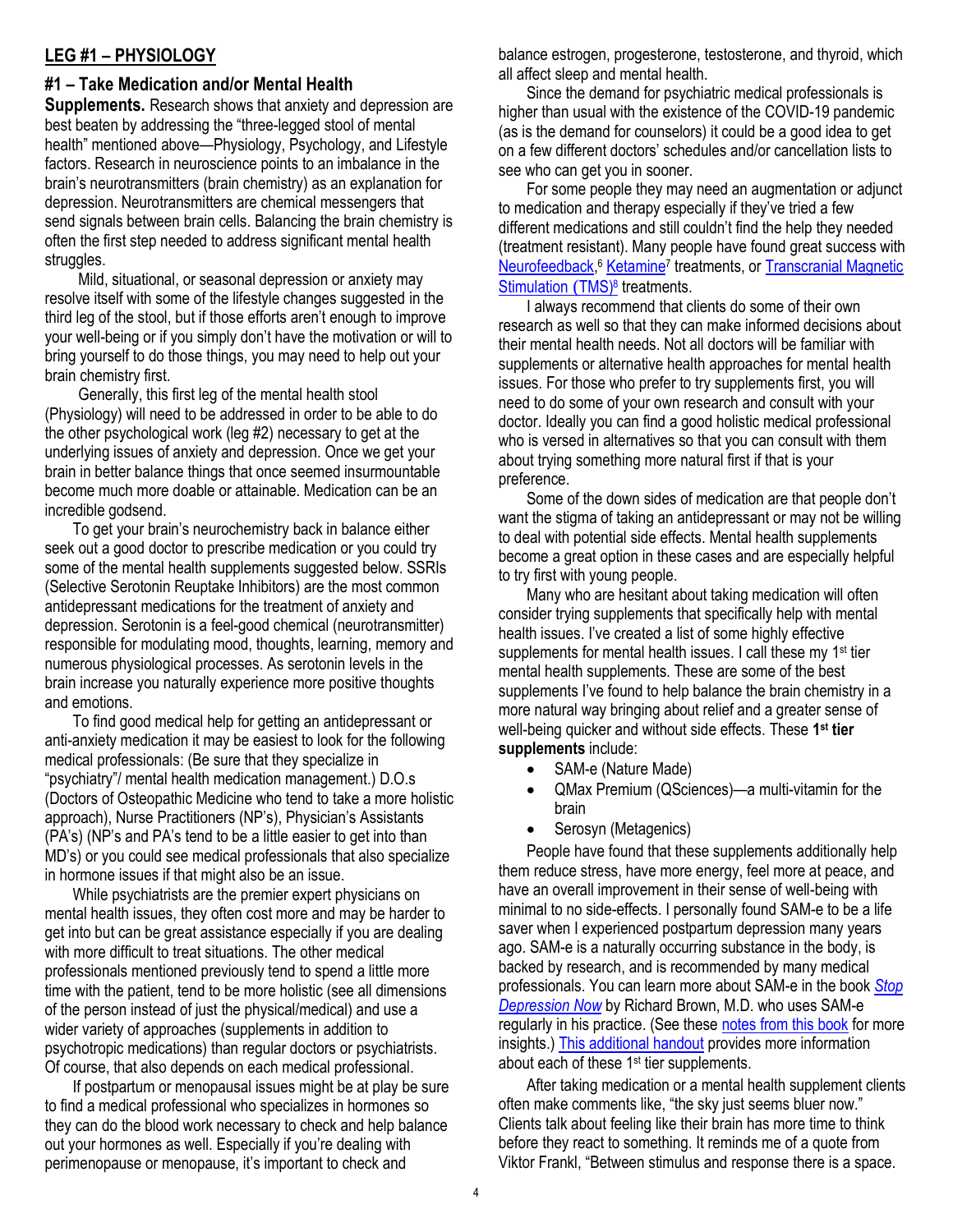#### **LEG #1 – PHYSIOLOGY**

#### **#1 – Take Medication and/or Mental Health**

**Supplements.** Research shows that anxiety and depression are best beaten by addressing the "three-legged stool of mental health" mentioned above—Physiology, Psychology, and Lifestyle factors. Research in neuroscience points to an imbalance in the brain's neurotransmitters (brain chemistry) as an explanation for depression. Neurotransmitters are chemical messengers that send signals between brain cells. Balancing the brain chemistry is often the first step needed to address significant mental health struggles.

Mild, situational, or seasonal depression or anxiety may resolve itself with some of the lifestyle changes suggested in the third leg of the stool, but if those efforts aren't enough to improve your well-being or if you simply don't have the motivation or will to bring yourself to do those things, you may need to help out your brain chemistry first.

Generally, this first leg of the mental health stool (Physiology) will need to be addressed in order to be able to do the other psychological work (leg #2) necessary to get at the underlying issues of anxiety and depression. Once we get your brain in better balance things that once seemed insurmountable become much more doable or attainable. Medication can be an incredible godsend.

To get your brain's neurochemistry back in balance either seek out a good doctor to prescribe medication or you could try some of the mental health supplements suggested below. SSRIs (Selective Serotonin Reuptake Inhibitors) are the most common antidepressant medications for the treatment of anxiety and depression. Serotonin is a feel-good chemical (neurotransmitter) responsible for modulating mood, thoughts, learning, memory and numerous physiological processes. As serotonin levels in the brain increase you naturally experience more positive thoughts and emotions.

To find good medical help for getting an antidepressant or anti-anxiety medication it may be easiest to look for the following medical professionals: (Be sure that they specialize in "psychiatry"/ mental health medication management.) D.O.s (Doctors of Osteopathic Medicine who tend to take a more holistic approach), Nurse Practitioners (NP's), Physician's Assistants (PA's) (NP's and PA's tend to be a little easier to get into than MD's) or you could see medical professionals that also specialize in hormone issues if that might also be an issue.

While psychiatrists are the premier expert physicians on mental health issues, they often cost more and may be harder to get into but can be great assistance especially if you are dealing with more difficult to treat situations. The other medical professionals mentioned previously tend to spend a little more time with the patient, tend to be more holistic (see all dimensions of the person instead of just the physical/medical) and use a wider variety of approaches (supplements in addition to psychotropic medications) than regular doctors or psychiatrists. Of course, that also depends on each medical professional.

If postpartum or menopausal issues might be at play be sure to find a medical professional who specializes in hormones so they can do the blood work necessary to check and help balance out your hormones as well. Especially if you're dealing with perimenopause or menopause, it's important to check and

balance estrogen, progesterone, testosterone, and thyroid, which all affect sleep and mental health.

Since the demand for psychiatric medical professionals is higher than usual with the existence of the COVID-19 pandemic (as is the demand for counselors) it could be a good idea to get on a few different doctors' schedules and/or cancellation lists to see who can get you in sooner.

For some people they may need an augmentation or adjunct to medication and therapy especially if they've tried a few different medications and still couldn't find the help they needed (treatment resistant). Many people have found great success with [Neurofeedback,](https://www.psychologytoday.com/us/therapy-types/neurofeedback)<sup>6</sup> [Ketamine](https://www.webmd.com/depression/features/what-does-ketamine-do-your-brain)<sup>7</sup> treatments, or Transcranial Magnetic [Stimulation](https://www.mayoclinic.org/tests-procedures/transcranial-magnetic-stimulation/about/pac-20384625) (TMS)<sup>8</sup> treatments.

I always recommend that clients do some of their own research as well so that they can make informed decisions about their mental health needs. Not all doctors will be familiar with supplements or alternative health approaches for mental health issues. For those who prefer to try supplements first, you will need to do some of your own research and consult with your doctor. Ideally you can find a good holistic medical professional who is versed in alternatives so that you can consult with them about trying something more natural first if that is your preference.

Some of the down sides of medication are that people don't want the stigma of taking an antidepressant or may not be willing to deal with potential side effects. Mental health supplements become a great option in these cases and are especially helpful to try first with young people.

Many who are hesitant about taking medication will often consider trying supplements that specifically help with mental health issues. I've created a list of some highly effective supplements for mental health issues. I call these my 1<sup>st</sup> tier mental health supplements. These are some of the best supplements I've found to help balance the brain chemistry in a more natural way bringing about relief and a greater sense of well-being quicker and without side effects. These **1 st tier supplements** include:

- SAM-e (Nature Made)
- QMax Premium (QSciences)—a multi-vitamin for the brain
- Serosyn (Metagenics)

People have found that these supplements additionally help them reduce stress, have more energy, feel more at peace, and have an overall improvement in their sense of well-being with minimal to no side-effects. I personally found SAM-e to be a life saver when I experienced postpartum depression many years ago. SAM-e is a naturally occurring substance in the body, is backed by research, and is recommended by many medical professionals. You can learn more about SAM-e in the book *[Stop](https://amzn.to/3b0fRgj)  [Depression Now](https://amzn.to/3b0fRgj)* by Richard Brown, M.D. who uses SAM-e regularly in his practice. (See these [notes from this book](https://maritalintimacyinst.com/wp-content/uploads/SAM-E-book-quotes-Final.pdf) for more insights.) [This additional handout](https://maritalintimacyinst.com/wp-content/uploads/SAM-e-QMax-Supplement-Info.pdf) provides more information about each of these 1<sup>st</sup> tier supplements.

After taking medication or a mental health supplement clients often make comments like, "the sky just seems bluer now." Clients talk about feeling like their brain has more time to think before they react to something. It reminds me of a quote from Viktor Frankl, "Between stimulus and response there is a space.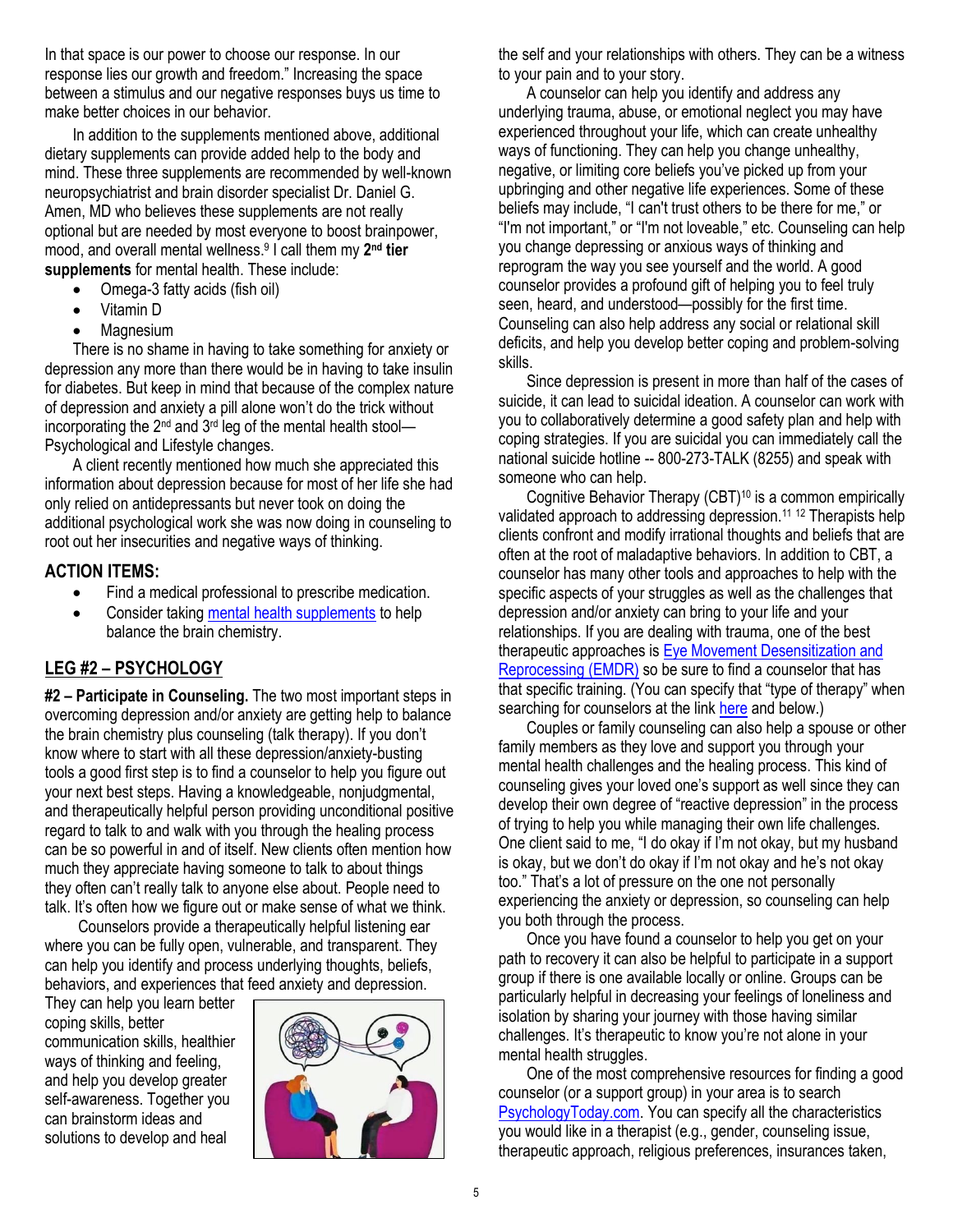In that space is our power to choose our response. In our response lies our growth and freedom." Increasing the space between a stimulus and our negative responses buys us time to make better choices in our behavior.

In addition to the supplements mentioned above, additional dietary supplements can provide added help to the body and mind. These three supplements are recommended by well-known neuropsychiatrist and brain disorder specialist Dr. Daniel G. Amen, MD who believes these supplements are not really optional but are needed by most everyone to boost brainpower, mood, and overall mental wellness.<sup>9</sup> I call them my 2<sup>nd</sup> tier **supplements** for mental health. These include:

- Omega-3 fatty acids (fish oil)
- Vitamin D
- Magnesium

There is no shame in having to take something for anxiety or depression any more than there would be in having to take insulin for diabetes. But keep in mind that because of the complex nature of depression and anxiety a pill alone won't do the trick without incorporating the  $2^{nd}$  and  $3^{rd}$  leg of the mental health stool-Psychological and Lifestyle changes.

A client recently mentioned how much she appreciated this information about depression because for most of her life she had only relied on antidepressants but never took on doing the additional psychological work she was now doing in counseling to root out her insecurities and negative ways of thinking.

#### **ACTION ITEMS:**

- Find a medical professional to prescribe medication.
- Consider takin[g mental health supplements](https://maritalintimacyinst.com/wp-content/uploads/SAM-e-QMax-Supplement-Info.pdf) to help balance the brain chemistry.

# **LEG #2 – PSYCHOLOGY**

**#2 – Participate in Counseling.** The two most important steps in overcoming depression and/or anxiety are getting help to balance the brain chemistry plus counseling (talk therapy). If you don't know where to start with all these depression/anxiety-busting tools a good first step is to find a counselor to help you figure out your next best steps. Having a knowledgeable, nonjudgmental, and therapeutically helpful person providing unconditional positive regard to talk to and walk with you through the healing process can be so powerful in and of itself. New clients often mention how much they appreciate having someone to talk to about things they often can't really talk to anyone else about. People need to talk. It's often how we figure out or make sense of what we think.

Counselors provide a therapeutically helpful listening ear where you can be fully open, vulnerable, and transparent. They can help you identify and process underlying thoughts, beliefs, behaviors, and experiences that feed anxiety and depression.

They can help you learn better coping skills, better communication skills, healthier ways of thinking and feeling, and help you develop greater self-awareness. Together you can brainstorm ideas and solutions to develop and heal



the self and your relationships with others. They can be a witness to your pain and to your story.

A counselor can help you identify and address any underlying trauma, abuse, or emotional neglect you may have experienced throughout your life, which can create unhealthy ways of functioning. They can help you change unhealthy, negative, or limiting core beliefs you've picked up from your upbringing and other negative life experiences. Some of these beliefs may include, "I can't trust others to be there for me," or "I'm not important," or "I'm not loveable," etc. Counseling can help you change depressing or anxious ways of thinking and reprogram the way you see yourself and the world. A good counselor provides a profound gift of helping you to feel truly seen, heard, and understood—possibly for the first time. Counseling can also help address any social or relational skill deficits, and help you develop better coping and problem-solving skills.

Since depression is present in more than half of the cases of suicide, it can lead to suicidal ideation. A counselor can work with you to collaboratively determine a good safety plan and help with coping strategies. If you are suicidal you can immediately call the national suicide hotline -- 800-273-TALK (8255) and speak with someone who can help.

Cognitive Behavior Therapy (CBT)<sup>10</sup> is a common empirically validated approach to addressing depression.<sup>11 12</sup> Therapists help clients confront and modify irrational thoughts and beliefs that are often at the root of maladaptive behaviors. In addition to CBT, a counselor has many other tools and approaches to help with the specific aspects of your struggles as well as the challenges that depression and/or anxiety can bring to your life and your relationships. If you are dealing with trauma, one of the best therapeutic approaches is [Eye Movement Desensitization and](https://www.emdr.com/what-is-emdr/)  [Reprocessing \(EMDR\)](https://www.emdr.com/what-is-emdr/) so be sure to find a counselor that has that specific training. (You can specify that "type of therapy" when searching for counselors at the link [here](https://www.psychologytoday.com/us) and below.)

Couples or family counseling can also help a spouse or other family members as they love and support you through your mental health challenges and the healing process. This kind of counseling gives your loved one's support as well since they can develop their own degree of "reactive depression" in the process of trying to help you while managing their own life challenges. One client said to me, "I do okay if I'm not okay, but my husband is okay, but we don't do okay if I'm not okay and he's not okay too." That's a lot of pressure on the one not personally experiencing the anxiety or depression, so counseling can help you both through the process.

Once you have found a counselor to help you get on your path to recovery it can also be helpful to participate in a support group if there is one available locally or online. Groups can be particularly helpful in decreasing your feelings of loneliness and isolation by sharing your journey with those having similar challenges. It's therapeutic to know you're not alone in your mental health struggles.

One of the most comprehensive resources for finding a good counselor (or a support group) in your area is to search [PsychologyToday.com.](https://www.psychologytoday.com/us) You can specify all the characteristics you would like in a therapist (e.g., gender, counseling issue, therapeutic approach, religious preferences, insurances taken,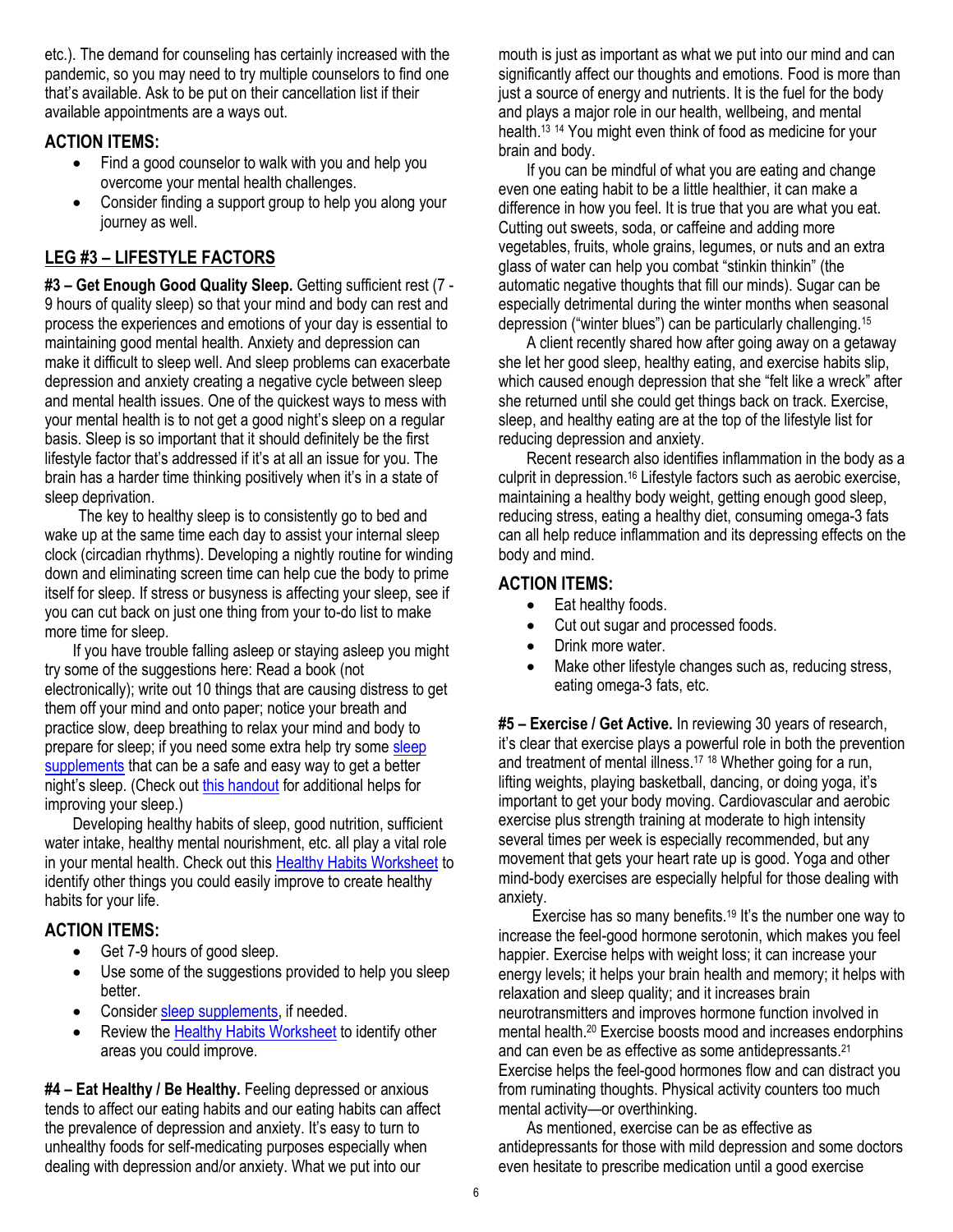etc.). The demand for counseling has certainly increased with the pandemic, so you may need to try multiple counselors to find one that's available. Ask to be put on their cancellation list if their available appointments are a ways out.

#### **ACTION ITEMS:**

- Find a good counselor to walk with you and help you overcome your mental health challenges.
- Consider finding a support group to help you along your journey as well.

# **LEG #3 – LIFESTYLE FACTORS**

**#3 – Get Enough Good Quality Sleep.** Getting sufficient rest (7 - 9 hours of quality sleep) so that your mind and body can rest and process the experiences and emotions of your day is essential to maintaining good mental health. Anxiety and depression can make it difficult to sleep well. And sleep problems can exacerbate depression and anxiety creating a negative cycle between sleep and mental health issues. One of the quickest ways to mess with your mental health is to not get a good night's sleep on a regular basis. Sleep is so important that it should definitely be the first lifestyle factor that's addressed if it's at all an issue for you. The brain has a harder time thinking positively when it's in a state of sleep deprivation.

The key to healthy sleep is to consistently go to bed and wake up at the same time each day to assist your internal sleep clock (circadian rhythms). Developing a nightly routine for winding down and eliminating screen time can help cue the body to prime itself for sleep. If stress or busyness is affecting your sleep, see if you can cut back on just one thing from your to-do list to make more time for sleep.

If you have trouble falling asleep or staying asleep you might try some of the suggestions here: Read a book (not electronically); write out 10 things that are causing distress to get them off your mind and onto paper; notice your breath and practice slow, deep breathing to relax your mind and body to prepare for sleep; if you need some extra help try some sleep [supplements](https://maritalintimacyinst.com/wp-content/uploads/GOOD-SLEEP-HABITS-and-Supplements.pdf) that can be a safe and easy way to get a better night's sleep. (Check out [this handout](https://maritalintimacyinst.com/wp-content/uploads/GOOD-SLEEP-HABITS-and-Supplements.pdf) for additional helps for improving your sleep.)

Developing healthy habits of sleep, good nutrition, sufficient water intake, healthy mental nourishment, etc. all play a vital role in your mental health. Check out this Healthy [Habits Worksheet](https://maritalintimacyinst.com/wp-content/uploads/HEALTHY-HABITS-worksheet.pdf) to identify other things you could easily improve to create healthy habits for your life.

# **ACTION ITEMS:**

- Get 7-9 hours of good sleep.
- Use some of the suggestions provided to help you sleep better.
- Conside[r sleep supplements,](https://maritalintimacyinst.com/wp-content/uploads/GOOD-SLEEP-HABITS-and-Supplements.pdf) if needed.
- Review the [Healthy Habits Worksheet](https://maritalintimacyinst.com/wp-content/uploads/HEALTHY-HABITS-worksheet.pdf) to identify other areas you could improve.

**#4 – Eat Healthy / Be Healthy.** Feeling depressed or anxious tends to affect our eating habits and our eating habits can affect the prevalence of depression and anxiety. It's easy to turn to unhealthy foods for self-medicating purposes especially when dealing with depression and/or anxiety. What we put into our

mouth is just as important as what we put into our mind and can significantly affect our thoughts and emotions. Food is more than just a source of energy and nutrients. It is the fuel for the body and plays a major role in our health, wellbeing, and mental health.<sup>13 14</sup> You might even think of food as medicine for your brain and body.

If you can be mindful of what you are eating and change even one eating habit to be a little healthier, it can make a difference in how you feel. It is true that you are what you eat. Cutting out sweets, soda, or caffeine and adding more vegetables, fruits, whole grains, legumes, or nuts and an extra glass of water can help you combat "stinkin thinkin" (the automatic negative thoughts that fill our minds). Sugar can be especially detrimental during the winter months when seasonal depression ("winter blues") can be particularly challenging.<sup>15</sup>

A client recently shared how after going away on a getaway she let her good sleep, healthy eating, and exercise habits slip, which caused enough depression that she "felt like a wreck" after she returned until she could get things back on track. Exercise, sleep, and healthy eating are at the top of the lifestyle list for reducing depression and anxiety.

Recent research also identifies inflammation in the body as a culprit in depression.<sup>16</sup> Lifestyle factors such as aerobic exercise, maintaining a healthy body weight, getting enough good sleep, reducing stress, eating a healthy diet, consuming omega-3 fats can all help reduce inflammation and its depressing effects on the body and mind.

# **ACTION ITEMS:**

- Eat healthy foods.
- Cut out sugar and processed foods.
- Drink more water.
- Make other lifestyle changes such as, reducing stress, eating omega-3 fats, etc.

**#5 – Exercise / Get Active.** In reviewing 30 years of research, it's clear that exercise plays a powerful role in both the prevention and treatment of mental illness.<sup>17</sup> <sup>18</sup> Whether going for a run, lifting weights, playing basketball, dancing, or doing yoga, it's important to get your body moving. Cardiovascular and aerobic exercise plus strength training at moderate to high intensity several times per week is especially recommended, but any movement that gets your heart rate up is good. Yoga and other mind-body exercises are especially helpful for those dealing with anxiety.

Exercise has so many benefits.<sup>19</sup> It's the number one way to increase the feel-good hormone serotonin, which makes you feel happier. Exercise helps with weight loss; it can increase your energy levels; it helps your brain health and memory; it helps with relaxation and sleep quality; and it increases brain neurotransmitters and improves hormone function involved in mental health.<sup>20</sup> Exercise boosts mood and increases endorphins and can even be as effective as some antidepressants.<sup>21</sup> Exercise helps the feel-good hormones flow and can distract you from ruminating thoughts. Physical activity counters too much mental activity—or overthinking.

As mentioned, exercise can be as effective as antidepressants for those with mild depression and some doctors even hesitate to prescribe medication until a good exercise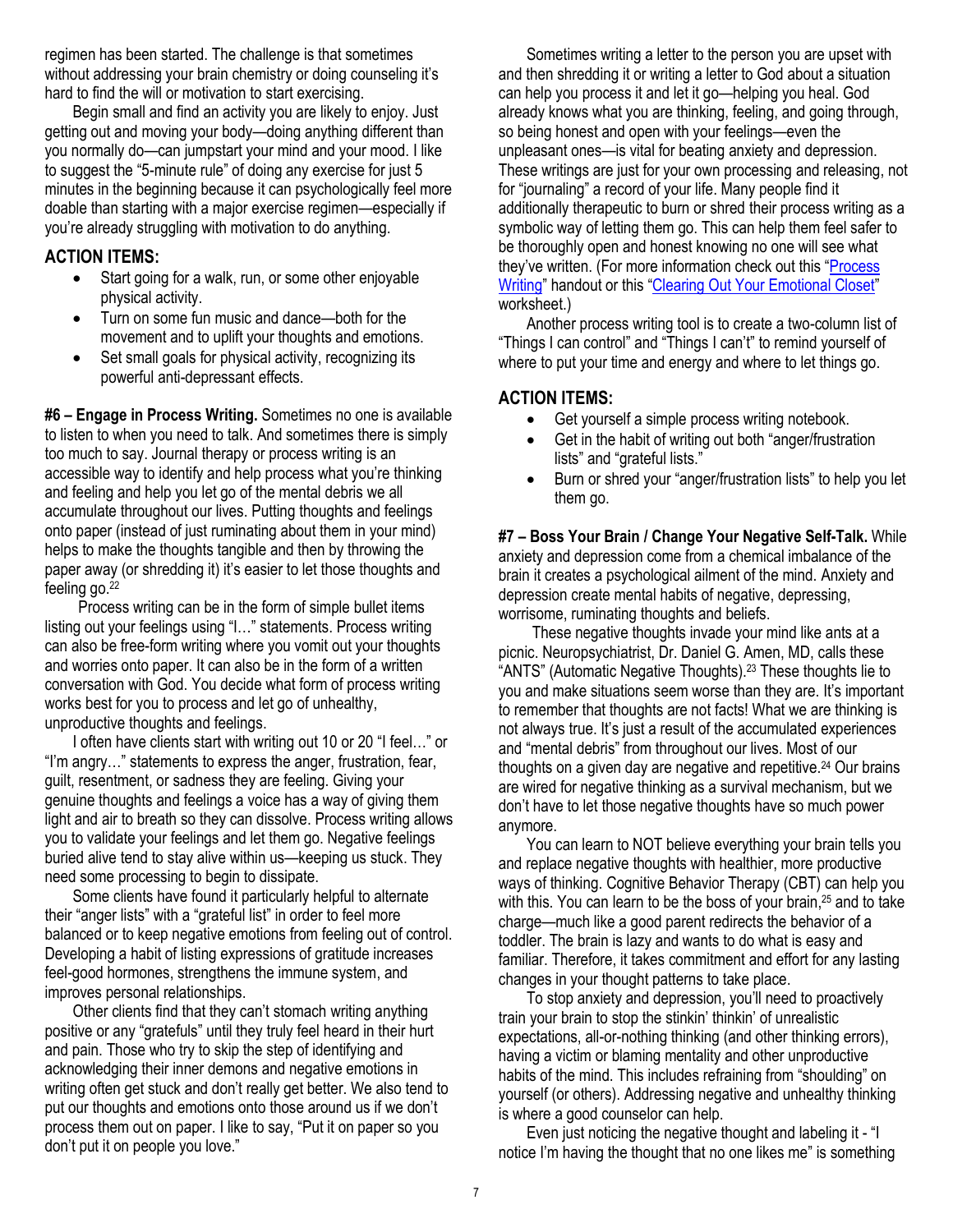regimen has been started. The challenge is that sometimes without addressing your brain chemistry or doing counseling it's hard to find the will or motivation to start exercising.

Begin small and find an activity you are likely to enjoy. Just getting out and moving your body—doing anything different than you normally do—can jumpstart your mind and your mood. I like to suggest the "5-minute rule" of doing any exercise for just 5 minutes in the beginning because it can psychologically feel more doable than starting with a major exercise regimen—especially if you're already struggling with motivation to do anything.

#### **ACTION ITEMS:**

- Start going for a walk, run, or some other enjoyable physical activity.
- Turn on some fun music and dance—both for the movement and to uplift your thoughts and emotions.
- Set small goals for physical activity, recognizing its powerful anti-depressant effects.

**#6 – Engage in Process Writing.** Sometimes no one is available to listen to when you need to talk. And sometimes there is simply too much to say. Journal therapy or process writing is an accessible way to identify and help process what you're thinking and feeling and help you let go of the mental debris we all accumulate throughout our lives. Putting thoughts and feelings onto paper (instead of just ruminating about them in your mind) helps to make the thoughts tangible and then by throwing the paper away (or shredding it) it's easier to let those thoughts and feeling go.<sup>22</sup>

Process writing can be in the form of simple bullet items listing out your feelings using "I…" statements. Process writing can also be free-form writing where you vomit out your thoughts and worries onto paper. It can also be in the form of a written conversation with God. You decide what form of process writing works best for you to process and let go of unhealthy, unproductive thoughts and feelings.

I often have clients start with writing out 10 or 20 "I feel…" or "I'm angry…" statements to express the anger, frustration, fear, guilt, resentment, or sadness they are feeling. Giving your genuine thoughts and feelings a voice has a way of giving them light and air to breath so they can dissolve. Process writing allows you to validate your feelings and let them go. Negative feelings buried alive tend to stay alive within us—keeping us stuck. They need some processing to begin to dissipate.

Some clients have found it particularly helpful to alternate their "anger lists" with a "grateful list" in order to feel more balanced or to keep negative emotions from feeling out of control. Developing a habit of listing expressions of gratitude increases feel-good hormones, strengthens the immune system, and improves personal relationships.

Other clients find that they can't stomach writing anything positive or any "gratefuls" until they truly feel heard in their hurt and pain. Those who try to skip the step of identifying and acknowledging their inner demons and negative emotions in writing often get stuck and don't really get better. We also tend to put our thoughts and emotions onto those around us if we don't process them out on paper. I like to say, "Put it on paper so you don't put it on people you love."

Sometimes writing a letter to the person you are upset with and then shredding it or writing a letter to God about a situation can help you process it and let it go—helping you heal. God already knows what you are thinking, feeling, and going through, so being honest and open with your feelings—even the unpleasant ones—is vital for beating anxiety and depression. These writings are just for your own processing and releasing, not for "journaling" a record of your life. Many people find it additionally therapeutic to burn or shred their process writing as a symbolic way of letting them go. This can help them feel safer to be thoroughly open and honest knowing no one will see what they've written. (For more information check out this "[Process](https://maritalintimacyinst.com/wp-content/uploads/process-writing-table-anger-frustration-accepting.pdf)  [Writing](https://maritalintimacyinst.com/wp-content/uploads/process-writing-table-anger-frustration-accepting.pdf)" handout or this "[Clearing Out Your Emotional Closet](https://maritalintimacyinst.com/wp-content/uploads/clearing-out-your-emotional-closet.pdf)" worksheet.)

Another process writing tool is to create a two-column list of "Things I can control" and "Things I can't" to remind yourself of where to put your time and energy and where to let things go.

# **ACTION ITEMS:**

- Get yourself a simple process writing notebook.
- Get in the habit of writing out both "anger/frustration" lists" and "grateful lists."
- Burn or shred your "anger/frustration lists" to help you let them go.

**#7 – Boss Your Brain / Change Your Negative Self-Talk.** While anxiety and depression come from a chemical imbalance of the brain it creates a psychological ailment of the mind. Anxiety and depression create mental habits of negative, depressing, worrisome, ruminating thoughts and beliefs.

These negative thoughts invade your mind like ants at a picnic. Neuropsychiatrist, Dr. Daniel G. Amen, MD, calls these "ANTS" (Automatic Negative Thoughts).<sup>23</sup> These thoughts lie to you and make situations seem worse than they are. It's important to remember that thoughts are not facts! What we are thinking is not always true. It's just a result of the accumulated experiences and "mental debris" from throughout our lives. Most of our thoughts on a given day are negative and repetitive.<sup>24</sup> Our brains are wired for negative thinking as a survival mechanism, but we don't have to let those negative thoughts have so much power anymore.

You can learn to NOT believe everything your brain tells you and replace negative thoughts with healthier, more productive ways of thinking. Cognitive Behavior Therapy (CBT) can help you with this. You can learn to be the boss of your brain,<sup>25</sup> and to take charge—much like a good parent redirects the behavior of a toddler. The brain is lazy and wants to do what is easy and familiar. Therefore, it takes commitment and effort for any lasting changes in your thought patterns to take place.

To stop anxiety and depression, you'll need to proactively train your brain to stop the stinkin' thinkin' of unrealistic expectations, all-or-nothing thinking (and other thinking errors), having a victim or blaming mentality and other unproductive habits of the mind. This includes refraining from "shoulding" on yourself (or others). Addressing negative and unhealthy thinking is where a good counselor can help.

Even just noticing the negative thought and labeling it - "I notice I'm having the thought that no one likes me" is something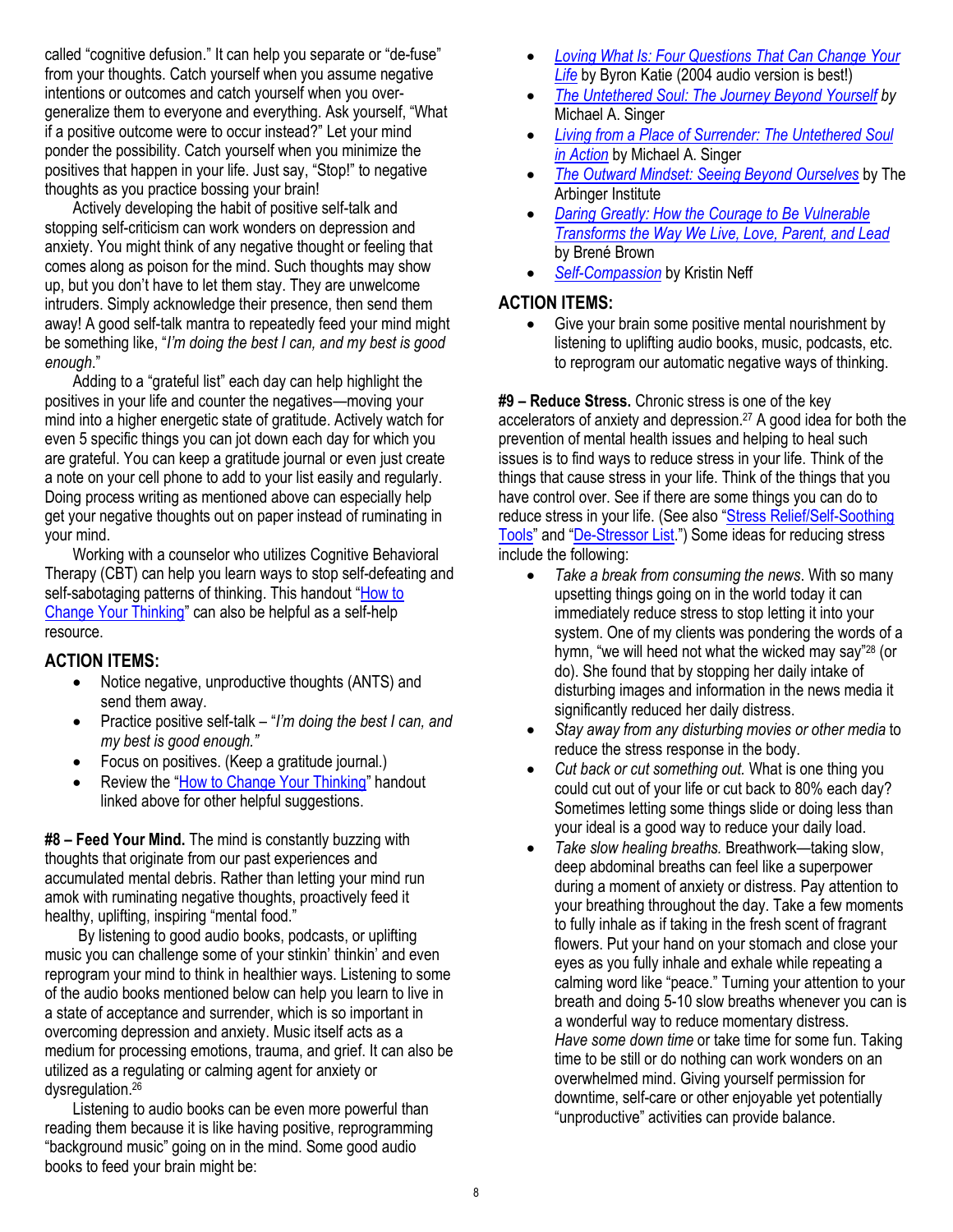called "cognitive defusion." It can help you separate or "de-fuse" from your thoughts. Catch yourself when you assume negative intentions or outcomes and catch yourself when you overgeneralize them to everyone and everything. Ask yourself, "What if a positive outcome were to occur instead?" Let your mind ponder the possibility. Catch yourself when you minimize the positives that happen in your life. Just say, "Stop!" to negative thoughts as you practice bossing your brain!

Actively developing the habit of positive self-talk and stopping self-criticism can work wonders on depression and anxiety. You might think of any negative thought or feeling that comes along as poison for the mind. Such thoughts may show up, but you don't have to let them stay. They are unwelcome intruders. Simply acknowledge their presence, then send them away! A good self-talk mantra to repeatedly feed your mind might be something like, "*I'm doing the best I can, and my best is good enough*."

Adding to a "grateful list" each day can help highlight the positives in your life and counter the negatives—moving your mind into a higher energetic state of gratitude. Actively watch for even 5 specific things you can jot down each day for which you are grateful. You can keep a gratitude journal or even just create a note on your cell phone to add to your list easily and regularly. Doing process writing as mentioned above can especially help get your negative thoughts out on paper instead of ruminating in your mind.

Working with a counselor who utilizes Cognitive Behavioral Therapy (CBT) can help you learn ways to stop self-defeating and self-sabotaging patterns of thinking. This handout "How to [Change Your Thinking](https://maritalintimacyinst.com/wp-content/uploads/How-to-Change-Your-Thinking.pdf)" can also be helpful as a self-help resource.

#### **ACTION ITEMS:**

- Notice negative, unproductive thoughts (ANTS) and send them away.
- Practice positive self-talk "*I'm doing the best I can, and my best is good enough."*
- Focus on positives. (Keep a gratitude journal.)
- Review the "[How to Change Your Thinking](https://maritalintimacyinst.com/wp-content/uploads/How-to-Change-Your-Thinking.pdf)" handout linked above for other helpful suggestions.

**#8 – Feed Your Mind.** The mind is constantly buzzing with thoughts that originate from our past experiences and accumulated mental debris. Rather than letting your mind run amok with ruminating negative thoughts, proactively feed it healthy, uplifting, inspiring "mental food."

By listening to good audio books, podcasts, or uplifting music you can challenge some of your stinkin' thinkin' and even reprogram your mind to think in healthier ways. Listening to some of the audio books mentioned below can help you learn to live in a state of acceptance and surrender, which is so important in overcoming depression and anxiety. Music itself acts as a medium for processing emotions, trauma, and grief. It can also be utilized as a regulating or calming agent for anxiety or dysregulation. 26

Listening to audio books can be even more powerful than reading them because it is like having positive, reprogramming "background music" going on in the mind. Some good audio books to feed your brain might be:

- *[Loving What Is: Four Questions That Can Change Your](https://www.audible.com/pd/Loving-What-Is-Audiobook/B002V5GLYQ?pf_rd_p=e81b7c27-6880-467a-b5a7-13cef5d729fe&pf_rd_r=6VBXM8ZQDH8FR7AQ0XXZ&qid=1560370832&ref=a_search_c3_lProduct_1_2&serial=&sr=1-2)  [Life](https://www.audible.com/pd/Loving-What-Is-Audiobook/B002V5GLYQ?pf_rd_p=e81b7c27-6880-467a-b5a7-13cef5d729fe&pf_rd_r=6VBXM8ZQDH8FR7AQ0XXZ&qid=1560370832&ref=a_search_c3_lProduct_1_2&serial=&sr=1-2)* by Byron Katie (2004 audio version is best!)
- *[The Untethered Soul: The Journey Beyond Yourself](https://amzn.to/2XttaMi) by* Michael A. Singer
- *[Living from a Place of Surrender: The Untethered Soul](https://amzn.to/2XsJeBu)  [in Action](https://amzn.to/2XsJeBu)* by Michael A. Singer
- *[The Outward Mindset: Seeing Beyond Ourselves](https://amzn.to/3reBQWd)* by The Arbinger Institute
- *[Daring Greatly: How the Courage to Be Vulnerable](https://amzn.to/2KTAJVY)  [Transforms the Way We Live, Love, Parent, and Lead](https://amzn.to/2KTAJVY)* by Brené Brown
- *[Self-Compassion](https://www.amazon.com/Self-Compassion-Proven-Power-Being-Yourself/dp/B005SA69UM/ref=tmm_aud_swatch_0?_encoding=UTF8&qid=1583810326&sr=8-3)* by Kristin Neff

# **ACTION ITEMS:**

• Give your brain some positive mental nourishment by listening to uplifting audio books, music, podcasts, etc. to reprogram our automatic negative ways of thinking.

**#9 – Reduce Stress.** Chronic stress is one of the key accelerators of anxiety and depression. <sup>27</sup> A good idea for both the prevention of mental health issues and helping to heal such issues is to find ways to reduce stress in your life. Think of the things that cause stress in your life. Think of the things that you have control over. See if there are some things you can do to reduce stress in your life. (See also "[Stress Relief/Self-Soothing](https://maritalintimacyinst.com/wp-content/uploads/Stress-Relief-Tools.pdf)  [Tools](https://maritalintimacyinst.com/wp-content/uploads/Stress-Relief-Tools.pdf)" and "[De-Stressor List](https://maritalintimacyinst.com/wp-content/uploads/Destressor-List.pdf).") Some ideas for reducing stress include the following:

- *Take a break from consuming the news*. With so many upsetting things going on in the world today it can immediately reduce stress to stop letting it into your system. One of my clients was pondering the words of a hymn, "we will heed not what the wicked may say"<sup>28</sup> (or do). She found that by stopping her daily intake of disturbing images and information in the news media it significantly reduced her daily distress.
- *Stay away from any disturbing movies or other media* to reduce the stress response in the body.
- *Cut back or cut something out.* What is one thing you could cut out of your life or cut back to 80% each day? Sometimes letting some things slide or doing less than your ideal is a good way to reduce your daily load.
- *Take slow healing breaths.* Breathwork—taking slow, deep abdominal breaths can feel like a superpower during a moment of anxiety or distress. Pay attention to your breathing throughout the day. Take a few moments to fully inhale as if taking in the fresh scent of fragrant flowers. Put your hand on your stomach and close your eyes as you fully inhale and exhale while repeating a calming word like "peace." Turning your attention to your breath and doing 5-10 slow breaths whenever you can is a wonderful way to reduce momentary distress. *Have some down time* or take time for some fun. Taking time to be still or do nothing can work wonders on an overwhelmed mind. Giving yourself permission for downtime, self-care or other enjoyable yet potentially "unproductive" activities can provide balance.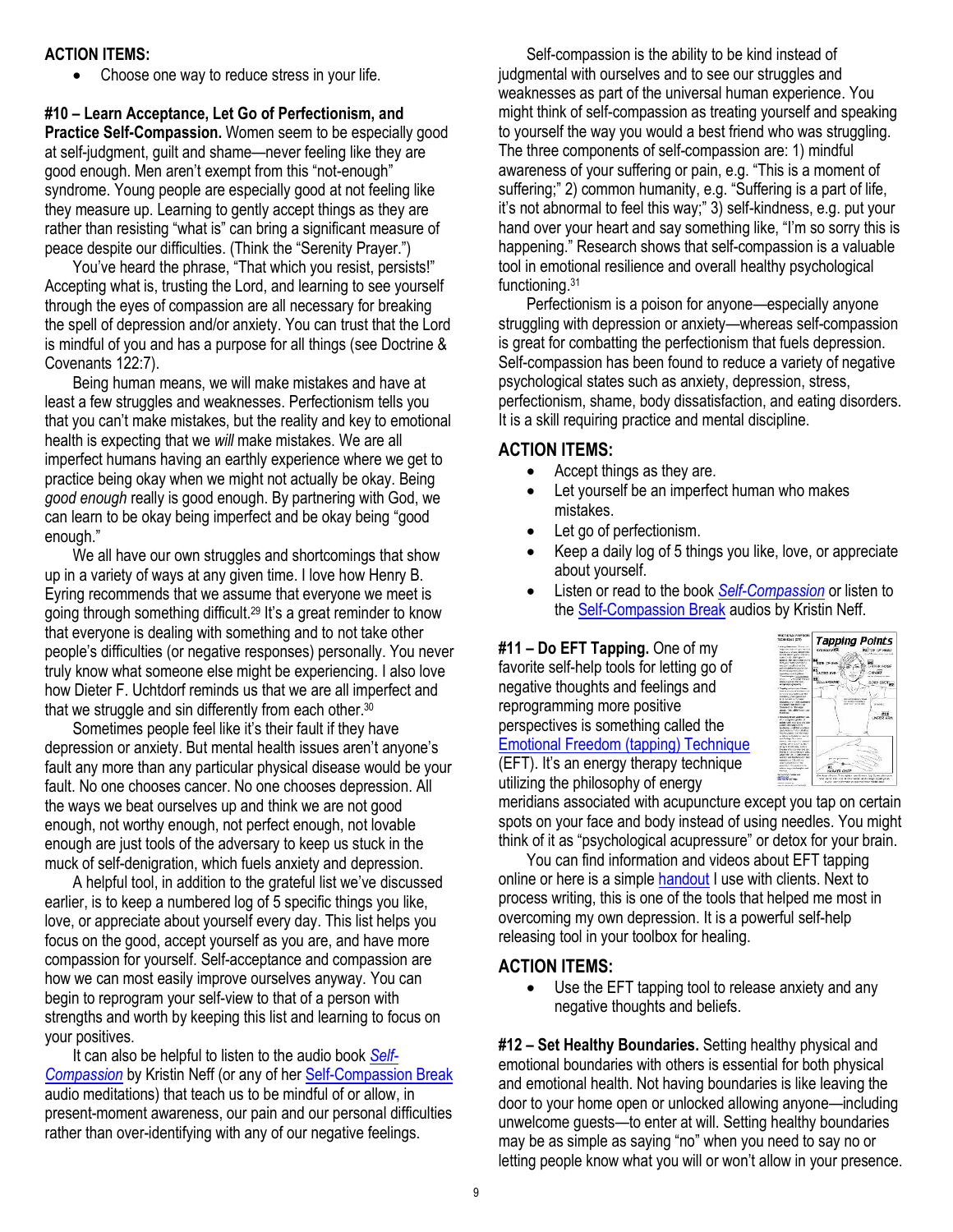#### **ACTION ITEMS:**

• Choose one way to reduce stress in your life.

**#10 – Learn Acceptance, Let Go of Perfectionism, and Practice Self-Compassion.** Women seem to be especially good at self-judgment, guilt and shame—never feeling like they are good enough. Men aren't exempt from this "not-enough" syndrome. Young people are especially good at not feeling like they measure up. Learning to gently accept things as they are rather than resisting "what is" can bring a significant measure of peace despite our difficulties. (Think the "Serenity Prayer.")

You've heard the phrase, "That which you resist, persists!" Accepting what is, trusting the Lord, and learning to see yourself through the eyes of compassion are all necessary for breaking the spell of depression and/or anxiety. You can trust that the Lord is mindful of you and has a purpose for all things (see Doctrine & Covenants 122:7).

Being human means, we will make mistakes and have at least a few struggles and weaknesses. Perfectionism tells you that you can't make mistakes, but the reality and key to emotional health is expecting that we *will* make mistakes. We are all imperfect humans having an earthly experience where we get to practice being okay when we might not actually be okay. Being *good enough* really is good enough. By partnering with God, we can learn to be okay being imperfect and be okay being "good enough."

We all have our own struggles and shortcomings that show up in a variety of ways at any given time. I love how Henry B. Eyring recommends that we assume that everyone we meet is going through something difficult.<sup>29</sup> It's a great reminder to know that everyone is dealing with something and to not take other people's difficulties (or negative responses) personally. You never truly know what someone else might be experiencing. I also love how Dieter F. Uchtdorf reminds us that we are all imperfect and that we struggle and sin differently from each other.<sup>30</sup>

Sometimes people feel like it's their fault if they have depression or anxiety. But mental health issues aren't anyone's fault any more than any particular physical disease would be your fault. No one chooses cancer. No one chooses depression. All the ways we beat ourselves up and think we are not good enough, not worthy enough, not perfect enough, not lovable enough are just tools of the adversary to keep us stuck in the muck of self-denigration, which fuels anxiety and depression.

A helpful tool, in addition to the grateful list we've discussed earlier, is to keep a numbered log of 5 specific things you like, love, or appreciate about yourself every day. This list helps you focus on the good, accept yourself as you are, and have more compassion for yourself. Self-acceptance and compassion are how we can most easily improve ourselves anyway. You can begin to reprogram your self-view to that of a person with strengths and worth by keeping this list and learning to focus on your positives.

It can also be helpful to listen to the audio book *[Self-](https://amzn.to/2DefnPF)[Compassion](https://amzn.to/2DefnPF)* by Kristin Neff (or any of her [Self-Compassion Break](https://self-compassion.org/category/exercises/) audio meditations) that teach us to be mindful of or allow, in present-moment awareness, our pain and our personal difficulties rather than over-identifying with any of our negative feelings.

Self-compassion is the ability to be kind instead of judgmental with ourselves and to see our struggles and weaknesses as part of the universal human experience. You might think of self-compassion as treating yourself and speaking to yourself the way you would a best friend who was struggling. The three components of self-compassion are: 1) mindful awareness of your suffering or pain, e.g. "This is a moment of suffering;" 2) common humanity, e.g. "Suffering is a part of life, it's not abnormal to feel this way;" 3) self-kindness, e.g. put your hand over your heart and say something like, "I'm so sorry this is happening." Research shows that self-compassion is a valuable tool in emotional resilience and overall healthy psychological functioning.<sup>31</sup>

Perfectionism is a poison for anyone—especially anyone struggling with depression or anxiety—whereas self-compassion is great for combatting the perfectionism that fuels depression. Self-compassion has been found to reduce a variety of negative psychological states such as anxiety, depression, stress, perfectionism, shame, body dissatisfaction, and eating disorders. It is a skill requiring practice and mental discipline.

# **ACTION ITEMS:**

- Accept things as they are.
- Let yourself be an imperfect human who makes mistakes.
- Let go of perfectionism.
- Keep a daily log of 5 things you like, love, or appreciate about yourself.
- Listen or read to the book *[Self-Compassion](https://amzn.to/2DefnPF)* or listen to th[e Self-Compassion Break](https://self-compassion.org/category/exercises/) audios by Kristin Neff.

**#11 – Do EFT Tapping.** One of my favorite self-help tools for letting go of negative thoughts and feelings and reprogramming more positive perspectives is something called the [Emotional Freedom \(tapping\) Technique](https://maritalintimacyinst.com/wp-content/uploads/Emotional-Freedom-Technique-EFT-w-steps-and-info.pdf) (EFT). It's an energy therapy technique utilizing the philosophy of energy



meridians associated with acupuncture except you tap on certain spots on your face and body instead of using needles. You might think of it as "psychological acupressure" or detox for your brain.

You can find information and videos about EFT tapping online or here is a simple [handout](https://maritalintimacyinst.com/wp-content/uploads/Emotional-Freedom-Technique-EFT-w-steps-and-info.pdf) I use with clients. Next to process writing, this is one of the tools that helped me most in overcoming my own depression. It is a powerful self-help releasing tool in your toolbox for healing.

# **ACTION ITEMS:**

• Use the EFT tapping tool to release anxiety and any negative thoughts and beliefs.

**#12 – Set Healthy Boundaries.** Setting healthy physical and emotional boundaries with others is essential for both physical and emotional health. Not having boundaries is like leaving the door to your home open or unlocked allowing anyone—including unwelcome guests—to enter at will. Setting healthy boundaries may be as simple as saying "no" when you need to say no or letting people know what you will or won't allow in your presence.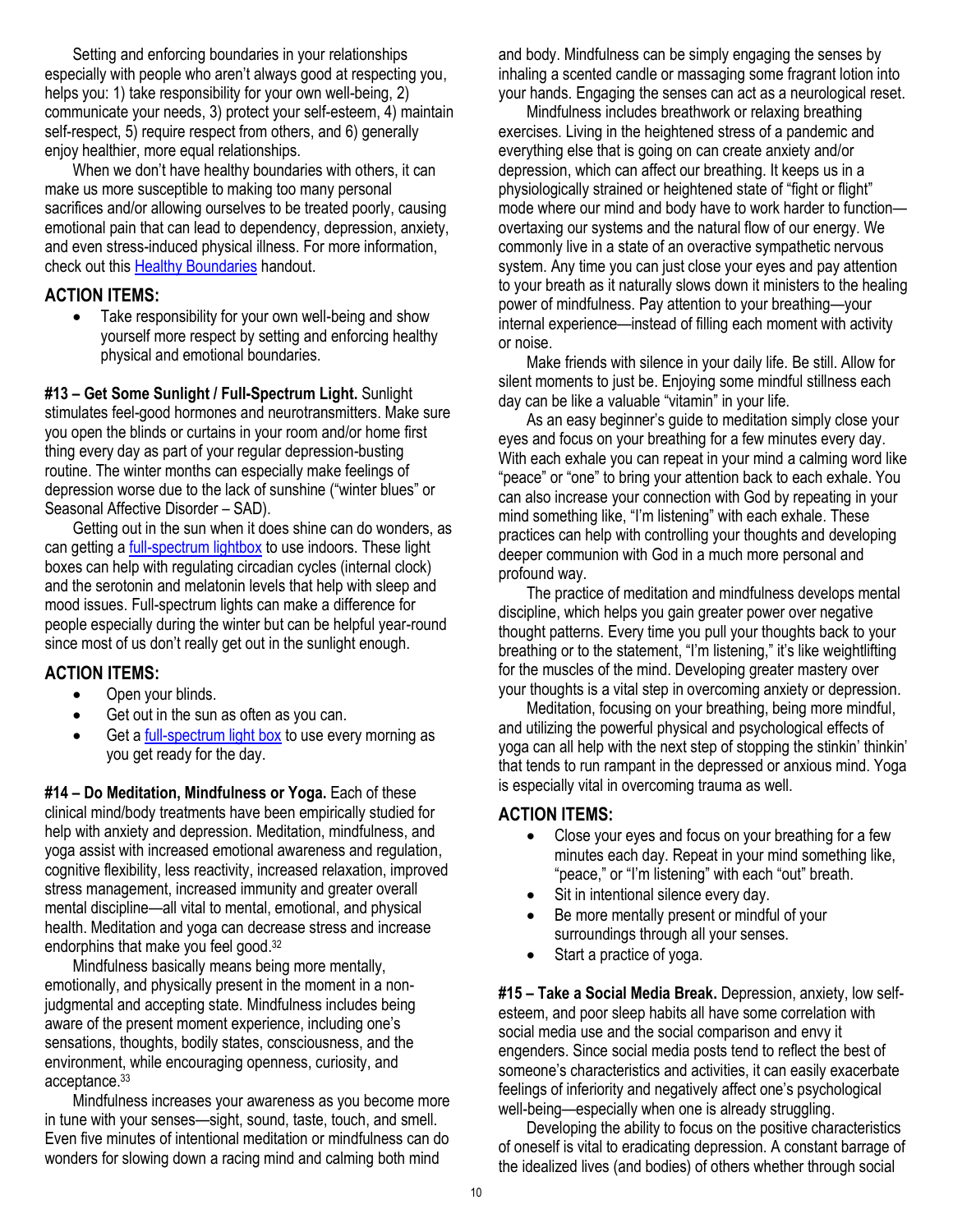Setting and enforcing boundaries in your relationships especially with people who aren't always good at respecting you, helps you: 1) take responsibility for your own well-being, 2) communicate your needs, 3) protect your self-esteem, 4) maintain self-respect, 5) require respect from others, and 6) generally enjoy healthier, more equal relationships.

When we don't have healthy boundaries with others, it can make us more susceptible to making too many personal sacrifices and/or allowing ourselves to be treated poorly, causing emotional pain that can lead to dependency, depression, anxiety, and even stress-induced physical illness. For more information, check out thi[s Healthy Boundaries](https://maritalintimacyinst.com/wp-content/uploads/Healthy-Boundaries.pdf) handout.

#### **ACTION ITEMS:**

• Take responsibility for your own well-being and show yourself more respect by setting and enforcing healthy physical and emotional boundaries.

**#13 – Get Some Sunlight / Full-Spectrum Light.** Sunlight stimulates feel-good hormones and neurotransmitters. Make sure you open the blinds or curtains in your room and/or home first thing every day as part of your regular depression-busting routine. The winter months can especially make feelings of depression worse due to the lack of sunshine ("winter blues" or Seasonal Affective Disorder – SAD).

Getting out in the sun when it does shine can do wonders, as can getting a **full-spectrum lightbox** to use indoors. These light boxes can help with regulating circadian cycles (internal clock) and the serotonin and melatonin levels that help with sleep and mood issues. Full-spectrum lights can make a difference for people especially during the winter but can be helpful year-round since most of us don't really get out in the sunlight enough.

# **ACTION ITEMS:**

- Open your blinds.
- Get out in the sun as often as you can.
- Get a [full-spectrum light box](https://www.walmart.com/ip/Beurer-Light-Lamp-Natural-Bright-Sun-The-Change-Seasons-Vitamin-D-Full-Spectrum-UV-Free-10-000-lux-LED-Portable-Daylight-Home-Office-Travels-TL30/597755203) to use every morning as you get ready for the day.

**#14 – Do Meditation, Mindfulness or Yoga.** Each of these clinical mind/body treatments have been empirically studied for help with anxiety and depression. Meditation, mindfulness, and yoga assist with increased emotional awareness and regulation, cognitive flexibility, less reactivity, increased relaxation, improved stress management, increased immunity and greater overall mental discipline—all vital to mental, emotional, and physical health. Meditation and yoga can decrease stress and increase endorphins that make you feel good.<sup>32</sup>

Mindfulness basically means being more mentally, emotionally, and physically present in the moment in a nonjudgmental and accepting state. Mindfulness includes being aware of the present moment experience, including one's sensations, thoughts, bodily states, consciousness, and the environment, while encouraging openness, curiosity, and acceptance. 33

Mindfulness increases your awareness as you become more in tune with your senses—sight, sound, taste, touch, and smell. Even five minutes of intentional meditation or mindfulness can do wonders for slowing down a racing mind and calming both mind

and body. Mindfulness can be simply engaging the senses by inhaling a scented candle or massaging some fragrant lotion into your hands. Engaging the senses can act as a neurological reset.

Mindfulness includes breathwork or relaxing breathing exercises. Living in the heightened stress of a pandemic and everything else that is going on can create anxiety and/or depression, which can affect our breathing. It keeps us in a physiologically strained or heightened state of "fight or flight" mode where our mind and body have to work harder to function overtaxing our systems and the natural flow of our energy. We commonly live in a state of an overactive sympathetic nervous system. Any time you can just close your eyes and pay attention to your breath as it naturally slows down it ministers to the healing power of mindfulness. Pay attention to your breathing—your internal experience—instead of filling each moment with activity or noise.

Make friends with silence in your daily life. Be still. Allow for silent moments to just be. Enjoying some mindful stillness each day can be like a valuable "vitamin" in your life.

As an easy beginner's guide to meditation simply close your eyes and focus on your breathing for a few minutes every day. With each exhale you can repeat in your mind a calming word like "peace" or "one" to bring your attention back to each exhale. You can also increase your connection with God by repeating in your mind something like, "I'm listening" with each exhale. These practices can help with controlling your thoughts and developing deeper communion with God in a much more personal and profound way.

The practice of meditation and mindfulness develops mental discipline, which helps you gain greater power over negative thought patterns. Every time you pull your thoughts back to your breathing or to the statement, "I'm listening," it's like weightlifting for the muscles of the mind. Developing greater mastery over your thoughts is a vital step in overcoming anxiety or depression.

Meditation, focusing on your breathing, being more mindful, and utilizing the powerful physical and psychological effects of yoga can all help with the next step of stopping the stinkin' thinkin' that tends to run rampant in the depressed or anxious mind. Yoga is especially vital in overcoming trauma as well.

# **ACTION ITEMS:**

- Close your eyes and focus on your breathing for a few minutes each day. Repeat in your mind something like, "peace," or "I'm listening" with each "out" breath.
- Sit in intentional silence every day.
- Be more mentally present or mindful of your surroundings through all your senses.
- Start a practice of yoga.

**#15 – Take a Social Media Break.** Depression, anxiety, low selfesteem, and poor sleep habits all have some correlation with social media use and the social comparison and envy it engenders. Since social media posts tend to reflect the best of someone's characteristics and activities, it can easily exacerbate feelings of inferiority and negatively affect one's psychological well-being—especially when one is already struggling.

Developing the ability to focus on the positive characteristics of oneself is vital to eradicating depression. A constant barrage of the idealized lives (and bodies) of others whether through social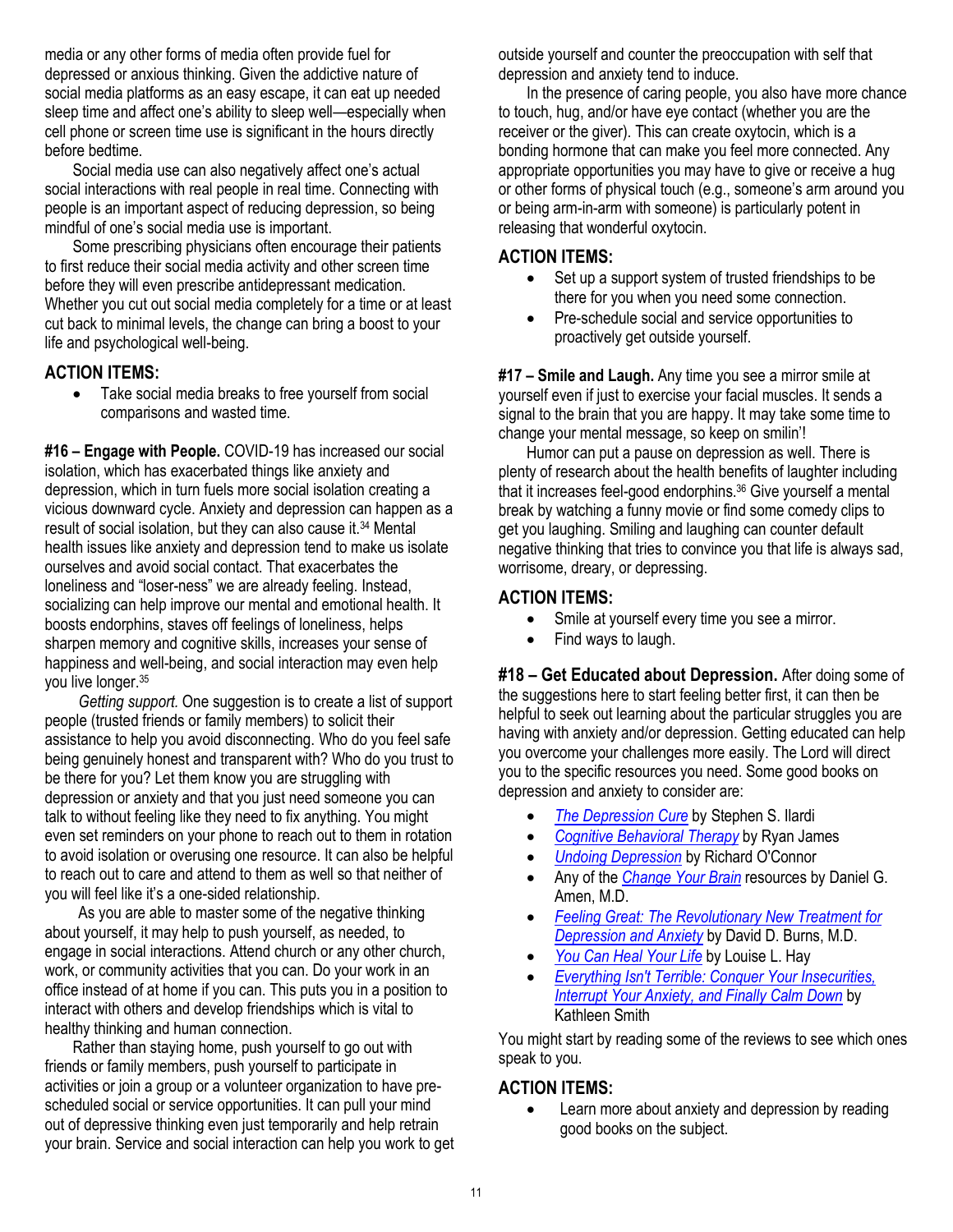media or any other forms of media often provide fuel for depressed or anxious thinking. Given the addictive nature of social media platforms as an easy escape, it can eat up needed sleep time and affect one's ability to sleep well—especially when cell phone or screen time use is significant in the hours directly before bedtime.

Social media use can also negatively affect one's actual social interactions with real people in real time. Connecting with people is an important aspect of reducing depression, so being mindful of one's social media use is important.

Some prescribing physicians often encourage their patients to first reduce their social media activity and other screen time before they will even prescribe antidepressant medication. Whether you cut out social media completely for a time or at least cut back to minimal levels, the change can bring a boost to your life and psychological well-being.

#### **ACTION ITEMS:**

• Take social media breaks to free yourself from social comparisons and wasted time.

**#16 – Engage with People.** COVID-19 has increased our social isolation, which has exacerbated things like anxiety and depression, which in turn fuels more social isolation creating a vicious downward cycle. Anxiety and depression can happen as a result of social isolation, but they can also cause it.<sup>34</sup> Mental health issues like anxiety and depression tend to make us isolate ourselves and avoid social contact. That exacerbates the loneliness and "loser-ness" we are already feeling. Instead, socializing can help improve our mental and emotional health. It boosts endorphins, staves off feelings of loneliness, helps sharpen memory and cognitive skills, increases your sense of happiness and well-being, and social interaction may even help you live longer.<sup>35</sup>

*Getting support.* One suggestion is to create a list of support people (trusted friends or family members) to solicit their assistance to help you avoid disconnecting. Who do you feel safe being genuinely honest and transparent with? Who do you trust to be there for you? Let them know you are struggling with depression or anxiety and that you just need someone you can talk to without feeling like they need to fix anything. You might even set reminders on your phone to reach out to them in rotation to avoid isolation or overusing one resource. It can also be helpful to reach out to care and attend to them as well so that neither of you will feel like it's a one-sided relationship.

As you are able to master some of the negative thinking about yourself, it may help to push yourself, as needed, to engage in social interactions. Attend church or any other church, work, or community activities that you can. Do your work in an office instead of at home if you can. This puts you in a position to interact with others and develop friendships which is vital to healthy thinking and human connection.

Rather than staying home, push yourself to go out with friends or family members, push yourself to participate in activities or join a group or a volunteer organization to have prescheduled social or service opportunities. It can pull your mind out of depressive thinking even just temporarily and help retrain your brain. Service and social interaction can help you work to get outside yourself and counter the preoccupation with self that depression and anxiety tend to induce.

In the presence of caring people, you also have more chance to touch, hug, and/or have eye contact (whether you are the receiver or the giver). This can create oxytocin, which is a bonding hormone that can make you feel more connected. Any appropriate opportunities you may have to give or receive a hug or other forms of physical touch (e.g., someone's arm around you or being arm-in-arm with someone) is particularly potent in releasing that wonderful oxytocin.

#### **ACTION ITEMS:**

- Set up a support system of trusted friendships to be there for you when you need some connection.
- Pre-schedule social and service opportunities to proactively get outside yourself.

**#17 – Smile and Laugh.** Any time you see a mirror smile at yourself even if just to exercise your facial muscles. It sends a signal to the brain that you are happy. It may take some time to change your mental message, so keep on smilin'!

Humor can put a pause on depression as well. There is plenty of research about the health benefits of laughter including that it increases feel-good endorphins.<sup>36</sup> Give yourself a mental break by watching a funny movie or find some comedy clips to get you laughing. Smiling and laughing can counter default negative thinking that tries to convince you that life is always sad, worrisome, dreary, or depressing.

#### **ACTION ITEMS:**

- Smile at yourself every time you see a mirror.
- Find ways to laugh.

**#18 – Get Educated about Depression.** After doing some of the suggestions here to start feeling better first, it can then be helpful to seek out learning about the particular struggles you are having with anxiety and/or depression. Getting educated can help you overcome your challenges more easily. The Lord will direct you to the specific resources you need. Some good books on depression and anxiety to consider are:

- *[The Depression Cure](https://www.amazon.com/Depression-Cure-6-Step-Program-without/dp/0738213888/ref=sr_1_1?keywords=depression+cure&qid=1552089208&s=gateway&sr=8-1)* by Stephen S. Ilardi
- *[Cognitive Behavioral Therapy](https://www.amazon.com/Cognitive-Behavioral-Therapy-Retraining-Overcoming/dp/1978385528/ref=tmm_pap_swatch_0?_encoding=UTF8&qid=1552089269&sr=8-6)* by Ryan James
- *[Undoing Depression](https://www.amazon.com/Undoing-Depression-Therapy-Doesnt-Medication/dp/0316043419/ref=sr_1_1?keywords=undoing+depression&qid=1552089435&s=gateway&sr=8-1)* by Richard O'Connor
- Any of the *[Change Your Brain](https://www.amazon.com/Change-Your-Brain-Revised-Expanded/dp/110190464X/ref=sr_1_1?keywords=change+your+brain+daniel+amen&qid=1552089514&s=gateway&sr=8-1)* resources by Daniel G. Amen, M.D.
- *[Feeling Great: The Revolutionary New Treatment for](https://www.amazon.com/Feeling-Great-Revolutionary-Treatment-Depression/dp/168373288X/ref=tmm_hrd_swatch_0?_encoding=UTF8&qid=1651873180&sr=8-1)  [Depression and Anxiety](https://www.amazon.com/Feeling-Great-Revolutionary-Treatment-Depression/dp/168373288X/ref=tmm_hrd_swatch_0?_encoding=UTF8&qid=1651873180&sr=8-1)* by David D. Burns, M.D.
- *[You Can Heal Your Life](https://www.amazon.com/You-Can-Heal-Your-Life/dp/0937611018/ref=tmm_pap_swatch_0?_encoding=UTF8&qid=&sr=)* by Louise L. Hay
- *[Everything Isn't Terrible: Conquer Your Insecurities,](https://amzn.to/3zETA1J)  [Interrupt Your Anxiety, and Finally Calm Down](https://amzn.to/3zETA1J)* by Kathleen Smith

You might start by reading some of the reviews to see which ones speak to you.

#### **ACTION ITEMS:**

• Learn more about anxiety and depression by reading good books on the subject.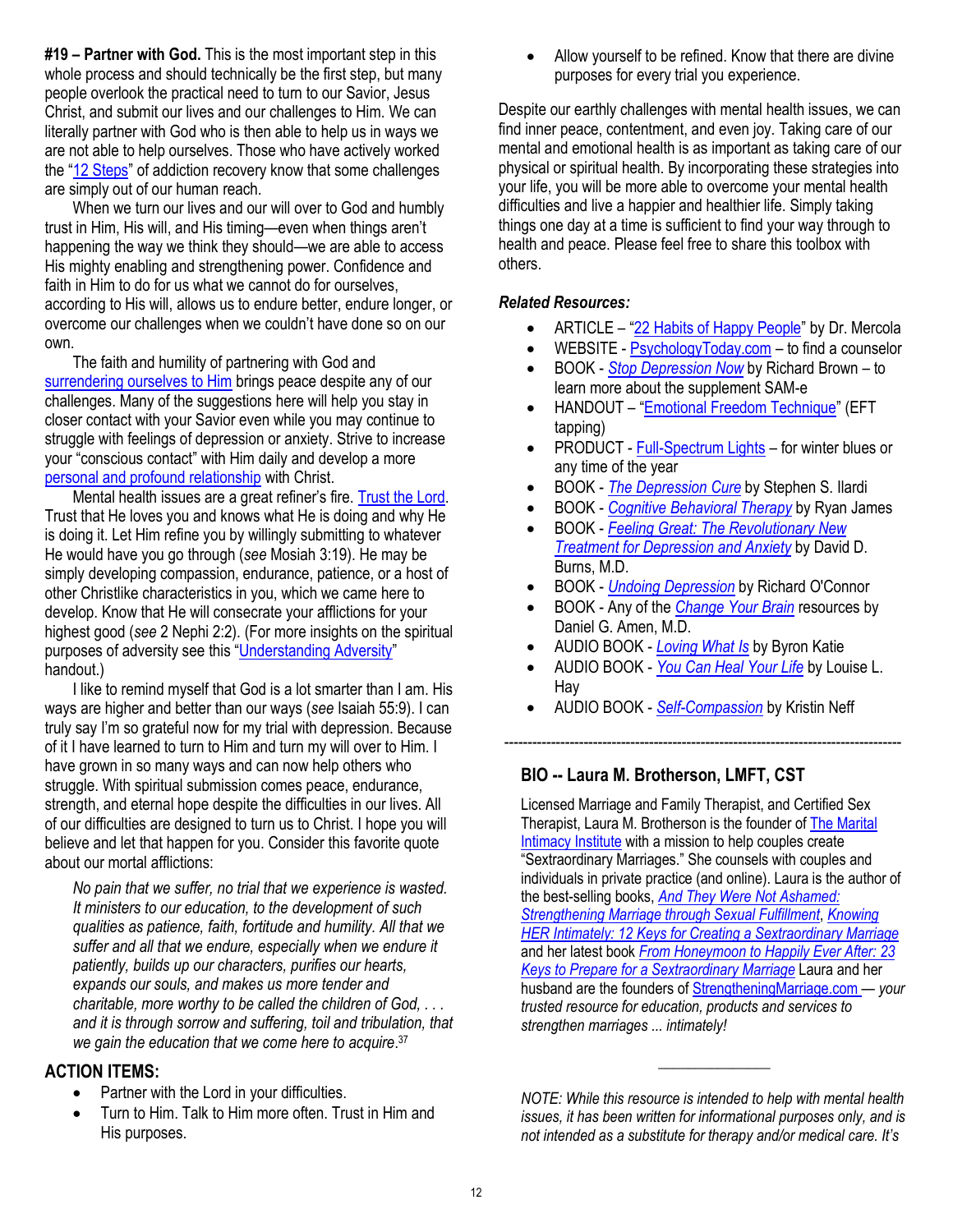**#19 – Partner with God.** This is the most important step in this whole process and should technically be the first step, but many people overlook the practical need to turn to our Savior, Jesus Christ, and submit our lives and our challenges to Him. We can literally partner with God who is then able to help us in ways we are not able to help ourselves. Those who have actively worked the "[12 Steps](https://maritalintimacyinst.com/wp-content/uploads/The-12-Steps-Coming-Unto-Christ.pdf)" of addiction recovery know that some challenges are simply out of our human reach.

When we turn our lives and our will over to God and humbly trust in Him, His will, and His timing—even when things aren't happening the way we think they should—we are able to access His mighty enabling and strengthening power. Confidence and faith in Him to do for us what we cannot do for ourselves, according to His will, allows us to endure better, endure longer, or overcome our challenges when we couldn't have done so on our own.

The faith and humility of partnering with God and [surrendering ourselves to Him](https://maritalintimacyinst.com/wp-content/uploads/how-to-do-spiritual-surrender-7-steps.pdf) brings peace despite any of our challenges. Many of the suggestions here will help you stay in closer contact with your Savior even while you may continue to struggle with feelings of depression or anxiety. Strive to increase your "conscious contact" with Him daily and develop a more [personal and profound relationship](https://maritalintimacyinst.com/wp-content/uploads/Keys-to-Developing-a-More-Personal-Relationship-with-God.pdf) with Christ.

Mental health issues are a great refiner's fire. [Trust the Lord.](https://maritalintimacyinst.com/wp-content/uploads/Trusting-in-the-Lord-Final.pdf) Trust that He loves you and knows what He is doing and why He is doing it. Let Him refine you by willingly submitting to whatever He would have you go through (*see* Mosiah 3:19). He may be simply developing compassion, endurance, patience, or a host of other Christlike characteristics in you, which we came here to develop. Know that He will consecrate your afflictions for your highest good (*see* 2 Nephi 2:2). (For more insights on the spiritual purposes of adversity see this "[Understanding Adversity](https://maritalintimacyinst.com/wp-content/uploads/understanding-adversity.pdf)" handout.)

I like to remind myself that God is a lot smarter than I am. His ways are higher and better than our ways (*see* Isaiah 55:9). I can truly say I'm so grateful now for my trial with depression. Because of it I have learned to turn to Him and turn my will over to Him. I have grown in so many ways and can now help others who struggle. With spiritual submission comes peace, endurance, strength, and eternal hope despite the difficulties in our lives. All of our difficulties are designed to turn us to Christ. I hope you will believe and let that happen for you. Consider this favorite quote about our mortal afflictions:

*No pain that we suffer, no trial that we experience is wasted. It ministers to our education, to the development of such qualities as patience, faith, fortitude and humility. All that we suffer and all that we endure, especially when we endure it patiently, builds up our characters, purifies our hearts, expands our souls, and makes us more tender and charitable, more worthy to be called the children of God, . . . and it is through sorrow and suffering, toil and tribulation, that we gain the education that we come here to acquire*. 37

#### **ACTION ITEMS:**

- Partner with the Lord in your difficulties.
- Turn to Him. Talk to Him more often. Trust in Him and His purposes.

• Allow yourself to be refined. Know that there are divine purposes for every trial you experience.

Despite our earthly challenges with mental health issues, we can find inner peace, contentment, and even joy. Taking care of our mental and emotional health is as important as taking care of our physical or spiritual health. By incorporating these strategies into your life, you will be more able to overcome your mental health difficulties and live a happier and healthier life. Simply taking things one day at a time is sufficient to find your way through to health and peace. Please feel free to share this toolbox with others.

#### *Related Resources:*

- ARTICLE "[22 Habits of Happy People](https://www.hungryforchange.tv/article/22-habits-of-happy-people)" by Dr. Mercola
- WEBSITE [PsychologyToday.com](https://www.psychologytoday.com/us) to find a counselor
- BOOK *[Stop Depression Now](https://www.amazon.com/Stop-Depression-Now-SAM-Breakthrough/dp/0425176436/ref=sr_1_2?keywords=stop+depression+now&qid=1552023989&s=gateway&sr=8-2)* by Richard Brown to learn more about the supplement SAM-e
- HANDOUT "[Emotional Freedom Technique](https://maritalintimacyinst.com/wp-content/uploads/Emotional-Freedom-Technique-EFT-w-steps-and-info.pdf)" (EFT tapping)
- PRODUCT [Full-Spectrum Lights](https://www.walmart.com/ip/Beurer-Light-Lamp-Natural-Bright-Sun-The-Change-Seasons-Vitamin-D-Full-Spectrum-UV-Free-10-000-lux-LED-Portable-Daylight-Home-Office-Travels-TL30/597755203) for winter blues or any time of the year
- BOOK *[The Depression Cure](https://www.amazon.com/Depression-Cure-6-Step-Program-without/dp/0738213888/ref=sr_1_1?keywords=depression+cure&qid=1552089208&s=gateway&sr=8-1)* by Stephen S. Ilardi
- BOOK *[Cognitive Behavioral Therapy](https://www.amazon.com/Cognitive-Behavioral-Therapy-Retraining-Overcoming/dp/1978385528/ref=tmm_pap_swatch_0?_encoding=UTF8&qid=1552089269&sr=8-6)* by Ryan James
- BOOK *[Feeling Great: The Revolutionary New](https://www.amazon.com/Feeling-Great-Revolutionary-Treatment-Depression/dp/168373288X/ref=tmm_hrd_swatch_0?_encoding=UTF8&qid=1651873180&sr=8-1)  [Treatment for Depression and Anxiety](https://www.amazon.com/Feeling-Great-Revolutionary-Treatment-Depression/dp/168373288X/ref=tmm_hrd_swatch_0?_encoding=UTF8&qid=1651873180&sr=8-1)* by David D. Burns, M.D.
- BOOK *[Undoing Depression](https://www.amazon.com/Undoing-Depression-Therapy-Doesnt-Medication/dp/0316043419/ref=sr_1_1?keywords=undoing+depression&qid=1552089435&s=gateway&sr=8-1)* by Richard O'Connor
- BOOK Any of the *[Change Your](https://www.amazon.com/Change-Your-Brain-Revised-Expanded/dp/110190464X/ref=sr_1_1?keywords=change+your+brain+daniel+amen&qid=1552089514&s=gateway&sr=8-1) Brain* resources by Daniel G. Amen, M.D.
- AUDIO BOOK *[Loving What Is](https://www.audible.com/pd/Loving-What-Is-Audiobook/B002V5GLYQ?pf_rd_p=e81b7c27-6880-467a-b5a7-13cef5d729fe&pf_rd_r=6VBXM8ZQDH8FR7AQ0XXZ&qid=1560370832&ref=a_search_c3_lProduct_1_2&serial=&sr=1-2)* by Byron Katie
- AUDIO BOOK *[You Can Heal Your Life](https://www.amazon.com/You-Can-Heal-Your-Life/dp/0937611018/ref=tmm_pap_swatch_0?_encoding=UTF8&qid=&sr=)* by Louise L. Hay

-------------------------------------------------------------------------------------

• AUDIO BOOK - *[Self-Compassion](https://www.amazon.com/Self-Compassion-Proven-Power-Being-Yourself/dp/B005SA69UM/ref=tmm_aud_swatch_0?_encoding=UTF8&qid=1583810326&sr=8-3)* by Kristin Neff

#### **BIO -- Laura M. Brotherson, LMFT, CST**

Licensed Marriage and Family Therapist, and Certified Sex Therapist, Laura M. Brotherson is the founder of [The Marital](https://maritalintimacyinst.com/)  [Intimacy Institute](https://maritalintimacyinst.com/) with a mission to help couples create "Sextraordinary Marriages." She counsels with couples and individuals in private practice (and online). Laura is the author of the best-selling books, *[And They Were Not Ashamed:](https://www.strengtheningmarriage.com/product/and-they-were-not-ashamed-softcover/) [Strengthening Marriage through Sexual Fulfillment](https://www.strengtheningmarriage.com/product/and-they-were-not-ashamed-softcover/)*, *[Knowing](https://www.strengtheningmarriage.com/product/knowing-intimately-12-keys-creating-sextraordinary-marriage-softcover/)  [HER Intimately: 12 Keys for Creating a Sextraordinary Marriage](https://www.strengtheningmarriage.com/product/knowing-intimately-12-keys-creating-sextraordinary-marriage-softcover/)* and her latest book *[From Honeymoon to Happily Ever After: 23](https://www.strengtheningmarriage.com/product/honeymoon-happily-after-23-keys-prepare-sextraordinary-marriage/)  [Keys to Prepare for a Sextraordinary Marriage](https://www.strengtheningmarriage.com/product/honeymoon-happily-after-23-keys-prepare-sextraordinary-marriage/)* Laura and her husband are the founders of [StrengtheningMarriage.com](https://strengtheningmarriage.com/) — *your trusted resource for education, products and services to strengthen marriages ... intimately!*

*NOTE: While this resource is intended to help with mental health issues, it has been written for informational purposes only, and is not intended as a substitute for therapy and/or medical care. It's* 

\_\_\_\_\_\_\_\_\_\_\_\_\_\_\_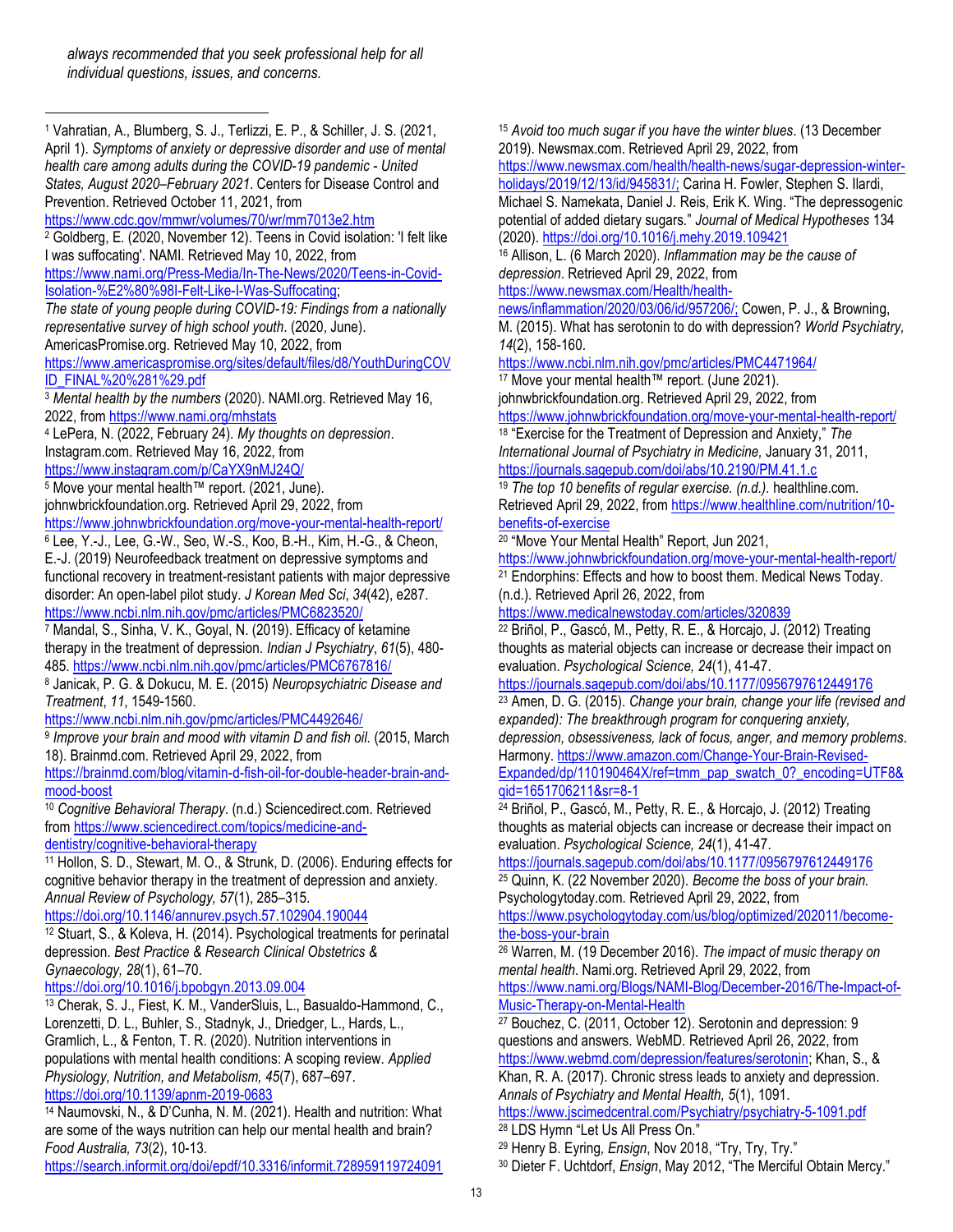<sup>1</sup> Vahratian, A., Blumberg, S. J., Terlizzi, E. P., & Schiller, J. S. (2021, April 1). *Symptoms of anxiety or depressive disorder and use of mental health care among adults during the COVID-19 pandemic - United States, August 2020–February 2021*. Centers for Disease Control and Prevention. Retrieved October 11, 2021, from <https://www.cdc.gov/mmwr/volumes/70/wr/mm7013e2.htm> <sup>2</sup> Goldberg, E. (2020, November 12). Teens in Covid isolation: 'I felt like I was suffocating'. NAMI. Retrieved May 10, 2022, from [https://www.nami.org/Press-Media/In-The-News/2020/Teens-in-Covid-](https://www.nami.org/Press-Media/In-The-News/2020/Teens-in-Covid-Isolation-%E2%80%98I-Felt-Like-I-Was-Suffocating)[Isolation-%E2%80%98I-Felt-Like-I-Was-Suffocating;](https://www.nami.org/Press-Media/In-The-News/2020/Teens-in-Covid-Isolation-%E2%80%98I-Felt-Like-I-Was-Suffocating)  *The state of young people during COVID-19: Findings from a nationally representative survey of high school youth*. (2020, June). AmericasPromise.org. Retrieved May 10, 2022, from [https://www.americaspromise.org/sites/default/files/d8/YouthDuringCOV](https://www.americaspromise.org/sites/default/files/d8/YouthDuringCOVID_FINAL%20%281%29.pdf) [ID\\_FINAL%20%281%29.pdf](https://www.americaspromise.org/sites/default/files/d8/YouthDuringCOVID_FINAL%20%281%29.pdf) <sup>3</sup> *Mental health by the numbers* (2020). NAMI.org. Retrieved May 16, 2022, from <https://www.nami.org/mhstats> <sup>4</sup> LePera, N. (2022, February 24). *My thoughts on depression*. Instagram.com. Retrieved May 16, 2022, from <https://www.instagram.com/p/CaYX9nMJ24Q/> <sup>5</sup> Move your mental health™ report. (2021, June). johnwbrickfoundation.org. Retrieved April 29, 2022, from <https://www.johnwbrickfoundation.org/move-your-mental-health-report/> <sup>6</sup> Lee, Y.-J., Lee, G.-W., Seo, W.-S., Koo, B.-H., Kim, H.-G., & Cheon, E.-J. (2019) Neurofeedback treatment on depressive symptoms and functional recovery in treatment-resistant patients with major depressive disorder: An open-label pilot study. *J Korean Med Sci*, *34*(42), e287. <https://www.ncbi.nlm.nih.gov/pmc/articles/PMC6823520/> <sup>7</sup> Mandal, S., Sinha, V. K., Goyal, N. (2019). Efficacy of ketamine therapy in the treatment of depression. *Indian J Psychiatry*, *61*(5), 480- 485.<https://www.ncbi.nlm.nih.gov/pmc/articles/PMC6767816/> <sup>8</sup> Janicak, P. G. & Dokucu, M. E. (2015) *Neuropsychiatric Disease and Treatment*, *11*, 1549-1560. <https://www.ncbi.nlm.nih.gov/pmc/articles/PMC4492646/> <sup>9</sup> Improve your brain and mood with vitamin D and fish oil. (2015, March 18). Brainmd.com. Retrieved April 29, 2022, from [https://brainmd.com/blog/vitamin-d-fish-oil-for-double-header-brain-and](https://brainmd.com/blog/vitamin-d-fish-oil-for-double-header-brain-and-mood-boost)[mood-boost](https://brainmd.com/blog/vitamin-d-fish-oil-for-double-header-brain-and-mood-boost) <sup>10</sup> *Cognitive Behavioral Therapy*. (n.d.) Sciencedirect.com. Retrieved from [https://www.sciencedirect.com/topics/medicine-and](https://www.sciencedirect.com/topics/medicine-and-dentistry/cognitive-behavioral-therapy)[dentistry/cognitive-behavioral-therapy](https://www.sciencedirect.com/topics/medicine-and-dentistry/cognitive-behavioral-therapy) <sup>11</sup> Hollon, S. D., Stewart, M. O., & Strunk, D. (2006). Enduring effects for cognitive behavior therapy in the treatment of depression and anxiety. *Annual Review of Psychology, 57*(1), 285–315. <https://doi.org/10.1146/annurev.psych.57.102904.190044> <sup>12</sup> Stuart, S., & Koleva, H. (2014). Psychological treatments for perinatal depression. *Best Practice & Research Clinical Obstetrics & Gynaecology, 28*(1), 61–70. <https://doi.org/10.1016/j.bpobgyn.2013.09.004> <sup>13</sup> Cherak, S. J., Fiest, K. M., VanderSluis, L., Basualdo-Hammond, C., Lorenzetti, D. L., Buhler, S., Stadnyk, J., Driedger, L., Hards, L., Gramlich, L., & Fenton, T. R. (2020). Nutrition interventions in populations with mental health conditions: A scoping review. *Applied Physiology, Nutrition, and Metabolism, 45*(7), 687–697. <https://doi.org/10.1139/apnm-2019-0683> <sup>14</sup> Naumovski, N., & D'Cunha, N. M. (2021). Health and nutrition: What

are some of the ways nutrition can help our mental health and brain? *Food Australia, 73*(2), 10-13.

<https://search.informit.org/doi/epdf/10.3316/informit.728959119724091>

<sup>15</sup> *Avoid too much sugar if you have the winter blues*. (13 December 2019). Newsmax.com. Retrieved April 29, 2022, from

[https://www.newsmax.com/health/health-news/sugar-depression-winter](https://www.newsmax.com/health/health-news/sugar-depression-winter-holidays/2019/12/13/id/945831/)[holidays/2019/12/13/id/945831/;](https://www.newsmax.com/health/health-news/sugar-depression-winter-holidays/2019/12/13/id/945831/) Carina H. Fowler, Stephen S. Ilardi, Michael S. Namekata, Daniel J. Reis, Erik K. Wing. "The depressogenic potential of added dietary sugars." *Journal of Medical Hypotheses* 134

(2020)[. https://doi.org/10.1016/j.mehy.2019.109421](https://doi.org/10.1016/j.mehy.2019.109421)

<sup>16</sup> Allison, L. (6 March 2020). *Inflammation may be the cause of depression*. Retrieved April 29, 2022, from

[https://www.newsmax.com/Health/health-](https://www.newsmax.com/Health/health-news/inflammation/2020/03/06/id/957206/)

[news/inflammation/2020/03/06/id/957206/;](https://www.newsmax.com/Health/health-news/inflammation/2020/03/06/id/957206/) Cowen, P. J., & Browning, M. (2015). What has serotonin to do with depression? *World Psychiatry, 14*(2), 158-160.

<https://www.ncbi.nlm.nih.gov/pmc/articles/PMC4471964/>

<sup>17</sup> Move your mental health™ report. (June 2021).

johnwbrickfoundation.org. Retrieved April 29, 2022, from

<https://www.johnwbrickfoundation.org/move-your-mental-health-report/>

<sup>18</sup> "Exercise for the Treatment of Depression and Anxiety," *The International Journal of Psychiatry in Medicine,* January 31, 2011, <https://journals.sagepub.com/doi/abs/10.2190/PM.41.1.c>

<sup>19</sup> *The top 10 benefits of regular exercise. (n.d.).* healthline.com. Retrieved April 29, 2022, fro[m https://www.healthline.com/nutrition/10](https://www.healthline.com/nutrition/10-benefits-of-exercise) [benefits-of-exercise](https://www.healthline.com/nutrition/10-benefits-of-exercise)

<sup>20</sup> "Move Your Mental Health" Report, Jun 2021,

<https://www.johnwbrickfoundation.org/move-your-mental-health-report/>

<sup>21</sup> Endorphins: Effects and how to boost them. Medical News Today. (n.d.). Retrieved April 26, 2022, from

<https://www.medicalnewstoday.com/articles/320839>

<sup>22</sup> Briñol, P., Gascó, M., Petty, R. E., & Horcajo, J. (2012) Treating thoughts as material objects can increase or decrease their impact on evaluation. *Psychological Science, 24*(1), 41-47.

<https://journals.sagepub.com/doi/abs/10.1177/0956797612449176>

<sup>23</sup> Amen, D. G. (2015). *Change your brain, change your life (revised and expanded): The breakthrough program for conquering anxiety,* 

*depression, obsessiveness, lack of focus, anger, and memory problems*. Harmony. [https://www.amazon.com/Change-Your-Brain-Revised-](https://www.amazon.com/Change-Your-Brain-Revised-Expanded/dp/110190464X/ref=tmm_pap_swatch_0?_encoding=UTF8&qid=1651706211&sr=8-1)

[Expanded/dp/110190464X/ref=tmm\\_pap\\_swatch\\_0?\\_encoding=UTF8&](https://www.amazon.com/Change-Your-Brain-Revised-Expanded/dp/110190464X/ref=tmm_pap_swatch_0?_encoding=UTF8&qid=1651706211&sr=8-1) [qid=1651706211&sr=8-1](https://www.amazon.com/Change-Your-Brain-Revised-Expanded/dp/110190464X/ref=tmm_pap_swatch_0?_encoding=UTF8&qid=1651706211&sr=8-1)

<sup>24</sup> Briñol, P., Gascó, M., Petty, R. E., & Horcajo, J. (2012) Treating thoughts as material objects can increase or decrease their impact on evaluation. *Psychological Science, 24*(1), 41-47.

<https://journals.sagepub.com/doi/abs/10.1177/0956797612449176> <sup>25</sup> Quinn, K. (22 November 2020). *Become the boss of your brain.*  Psychologytoday.com. Retrieved April 29, 2022, from

[https://www.psychologytoday.com/us/blog/optimized/202011/become](https://www.psychologytoday.com/us/blog/optimized/202011/become-the-boss-your-brain)[the-boss-your-brain](https://www.psychologytoday.com/us/blog/optimized/202011/become-the-boss-your-brain)

<sup>26</sup> Warren, M. (19 December 2016). *The impact of music therapy on mental health*. Nami.org. Retrieved April 29, 2022, from [https://www.nami.org/Blogs/NAMI-Blog/December-2016/The-Impact-of-](https://www.nami.org/Blogs/NAMI-Blog/December-2016/The-Impact-of-Music-Therapy-on-Mental-Health)[Music-Therapy-on-Mental-Health](https://www.nami.org/Blogs/NAMI-Blog/December-2016/The-Impact-of-Music-Therapy-on-Mental-Health)

<sup>27</sup> Bouchez, C. (2011, October 12). Serotonin and depression: 9 questions and answers. WebMD. Retrieved April 26, 2022, from [https://www.webmd.com/depression/features/serotonin;](https://www.webmd.com/depression/features/serotonin) Khan, S., & Khan, R. A. (2017). Chronic stress leads to anxiety and depression.

*Annals of Psychiatry and Mental Health, 5*(1), 1091. <https://www.jscimedcentral.com/Psychiatry/psychiatry-5-1091.pdf>

<sup>28</sup> LDS Hymn "Let Us All Press On."

<sup>29</sup> Henry B. Eyring*, Ensign*, Nov 2018, "Try, Try, Try."

<sup>30</sup> Dieter F. Uchtdorf, *Ensign*, May 2012, "The Merciful Obtain Mercy."